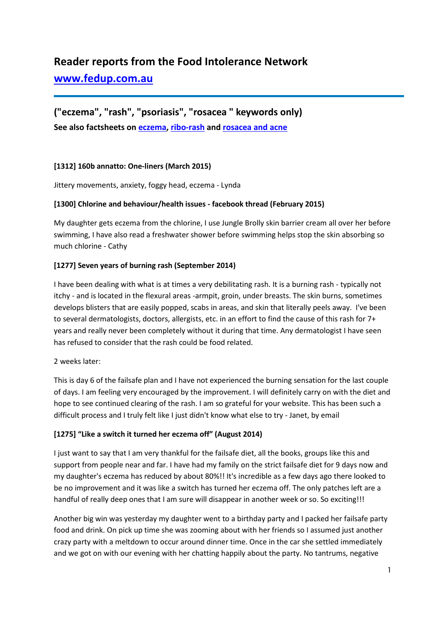# **Reader reports from the Food Intolerance Network**

# **[www.fedup.com.au](http://www.fedup.com.au/)**

# **("eczema", "rash", "psoriasis", "rosacea " keywords only) See also factsheets on [eczema,](http://fedup.com.au/factsheets/symptom-factsheets/eczema) [ribo-rash](http://fedup.com.au/factsheets/additive-and-natural-chemical-factsheets/635-ribo-rash-ribonucleotides-627-631) and [rosacea and acne](http://fedup.com.au/factsheets/symptom-factsheets/rosacea-and-acne)**

# **[1312] 160b annatto: One-liners (March 2015)**

Jittery movements, anxiety, foggy head, eczema - Lynda

#### **[1300] Chlorine and behaviour/health issues - facebook thread (February 2015)**

My daughter gets eczema from the chlorine, I use Jungle Brolly skin barrier cream all over her before swimming, I have also read a freshwater shower before swimming helps stop the skin absorbing so much chlorine - Cathy

# **[1277] Seven years of burning rash (September 2014)**

I have been dealing with what is at times a very debilitating rash. It is a burning rash - typically not itchy - and is located in the flexural areas -armpit, groin, under breasts. The skin burns, sometimes develops blisters that are easily popped, scabs in areas, and skin that literally peels away. I've been to several dermatologists, doctors, allergists, etc. in an effort to find the cause of this rash for 7+ years and really never been completely without it during that time. Any dermatologist I have seen has refused to consider that the rash could be food related.

#### 2 weeks later:

This is day 6 of the failsafe plan and I have not experienced the burning sensation for the last couple of days. I am feeling very encouraged by the improvement. I will definitely carry on with the diet and hope to see continued clearing of the rash. I am so grateful for your website. This has been such a difficult process and I truly felt like I just didn't know what else to try - Janet, by email

#### **[1275] "Like a switch it turned her eczema off" (August 2014)**

I just want to say that I am very thankful for the failsafe diet, all the books, groups like this and support from people near and far. I have had my family on the strict failsafe diet for 9 days now and my daughter's eczema has reduced by about 80%!! It's incredible as a few days ago there looked to be no improvement and it was like a switch has turned her eczema off. The only patches left are a handful of really deep ones that I am sure will disappear in another week or so. So exciting!!!

Another big win was yesterday my daughter went to a birthday party and I packed her failsafe party food and drink. On pick up time she was zooming about with her friends so I assumed just another crazy party with a meltdown to occur around dinner time. Once in the car she settled immediately and we got on with our evening with her chatting happily about the party. No tantrums, negative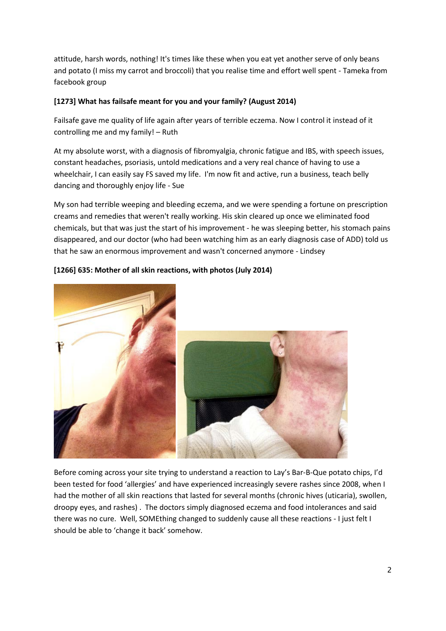attitude, harsh words, nothing! It's times like these when you eat yet another serve of only beans and potato (I miss my carrot and broccoli) that you realise time and effort well spent - Tameka from facebook group

# **[1273] What has failsafe meant for you and your family? (August 2014)**

Failsafe gave me quality of life again after years of terrible eczema. Now I control it instead of it controlling me and my family! – Ruth

At my absolute worst, with a diagnosis of fibromyalgia, chronic fatigue and IBS, with speech issues, constant headaches, psoriasis, untold medications and a very real chance of having to use a wheelchair, I can easily say FS saved my life. I'm now fit and active, run a business, teach belly dancing and thoroughly enjoy life - Sue

My son had terrible weeping and bleeding eczema, and we were spending a fortune on prescription creams and remedies that weren't really working. His skin cleared up once we eliminated food chemicals, but that was just the start of his improvement - he was sleeping better, his stomach pains disappeared, and our doctor (who had been watching him as an early diagnosis case of ADD) told us that he saw an enormous improvement and wasn't concerned anymore - Lindsey



# **[1266] 635: Mother of all skin reactions, with photos (July 2014)**

Before coming across your site trying to understand a reaction to Lay's Bar-B-Que potato chips, I'd been tested for food 'allergies' and have experienced increasingly severe rashes since 2008, when I had the mother of all skin reactions that lasted for several months (chronic hives (uticaria), swollen, droopy eyes, and rashes) . The doctors simply diagnosed eczema and food intolerances and said there was no cure. Well, SOMEthing changed to suddenly cause all these reactions - I just felt I should be able to 'change it back' somehow.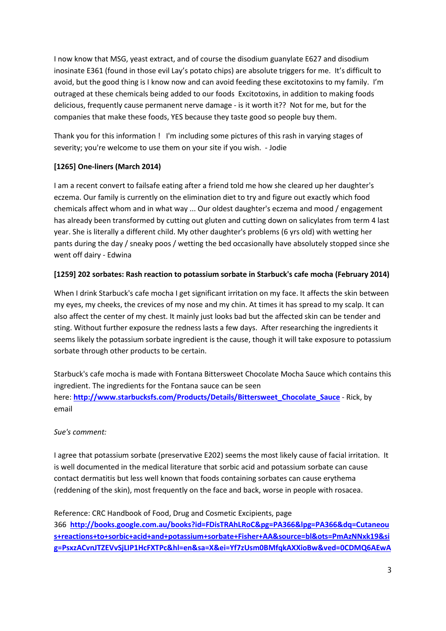I now know that MSG, yeast extract, and of course the disodium guanylate E627 and disodium inosinate E361 (found in those evil Lay's potato chips) are absolute triggers for me. It's difficult to avoid, but the good thing is I know now and can avoid feeding these excitotoxins to my family. I'm outraged at these chemicals being added to our foods Excitotoxins, in addition to making foods delicious, frequently cause permanent nerve damage - is it worth it?? Not for me, but for the companies that make these foods, YES because they taste good so people buy them.

Thank you for this information ! I'm including some pictures of this rash in varying stages of severity; you're welcome to use them on your site if you wish. - Jodie

# **[1265] One-liners (March 2014)**

I am a recent convert to failsafe eating after a friend told me how she cleared up her daughter's eczema. Our family is currently on the elimination diet to try and figure out exactly which food chemicals affect whom and in what way ... Our oldest daughter's eczema and mood / engagement has already been transformed by cutting out gluten and cutting down on salicylates from term 4 last year. She is literally a different child. My other daughter's problems (6 yrs old) with wetting her pants during the day / sneaky poos / wetting the bed occasionally have absolutely stopped since she went off dairy - Edwina

# **[1259] 202 sorbates: Rash reaction to potassium sorbate in Starbuck's cafe mocha (February 2014)**

When I drink Starbuck's cafe mocha I get significant irritation on my face. It affects the skin between my eyes, my cheeks, the crevices of my nose and my chin. At times it has spread to my scalp. It can also affect the center of my chest. It mainly just looks bad but the affected skin can be tender and sting. Without further exposure the redness lasts a few days. After researching the ingredients it seems likely the potassium sorbate ingredient is the cause, though it will take exposure to potassium sorbate through other products to be certain.

Starbuck's cafe mocha is made with Fontana Bittersweet Chocolate Mocha Sauce which contains this ingredient. The ingredients for the Fontana sauce can be seen here: **[http://www.starbucksfs.com/Products/Details/Bittersweet\\_Chocolate\\_Sauce](http://www.starbucksfs.com/Products/Details/Bittersweet_Chocolate_Sauce)** - Rick, by email

# *Sue's comment:*

I agree that potassium sorbate (preservative E202) seems the most likely cause of facial irritation. It is well documented in the medical literature that sorbic acid and potassium sorbate can cause contact dermatitis but less well known that foods containing sorbates can cause erythema (reddening of the skin), most frequently on the face and back, worse in people with rosacea.

Reference: CRC Handbook of Food, Drug and Cosmetic Excipients, page 366 **[http://books.google.com.au/books?id=FDisTRAhLRoC&pg=PA366&lpg=PA366&dq=Cutaneou](http://books.google.com.au/books?id=FDisTRAhLRoC&pg=PA366&lpg=PA366&dq=Cutaneous+reactions+to+sorbic+acid+and+potassium+sorbate+Fisher+AA&source=bl&ots=PmAzNNxk19&sig=PsxzACvnJTZEVvSjLIP1HcFXTPc&hl=en&sa=X&ei=Yf7zUsm0BMfqkAXXioBw&ved=0CDMQ6AEwAw#v=onepage&q=Cutaneous%20reactions%20to%20sorbic%20acid%20and%20potassium%20sorbate%20Fisher%20AA&f=false) [s+reactions+to+sorbic+acid+and+potassium+sorbate+Fisher+AA&source=bl&ots=PmAzNNxk19&si](http://books.google.com.au/books?id=FDisTRAhLRoC&pg=PA366&lpg=PA366&dq=Cutaneous+reactions+to+sorbic+acid+and+potassium+sorbate+Fisher+AA&source=bl&ots=PmAzNNxk19&sig=PsxzACvnJTZEVvSjLIP1HcFXTPc&hl=en&sa=X&ei=Yf7zUsm0BMfqkAXXioBw&ved=0CDMQ6AEwAw#v=onepage&q=Cutaneous%20reactions%20to%20sorbic%20acid%20and%20potassium%20sorbate%20Fisher%20AA&f=false) [g=PsxzACvnJTZEVvSjLIP1HcFXTPc&hl=en&sa=X&ei=Yf7zUsm0BMfqkAXXioBw&ved=0CDMQ6AEwA](http://books.google.com.au/books?id=FDisTRAhLRoC&pg=PA366&lpg=PA366&dq=Cutaneous+reactions+to+sorbic+acid+and+potassium+sorbate+Fisher+AA&source=bl&ots=PmAzNNxk19&sig=PsxzACvnJTZEVvSjLIP1HcFXTPc&hl=en&sa=X&ei=Yf7zUsm0BMfqkAXXioBw&ved=0CDMQ6AEwAw#v=onepage&q=Cutaneous%20reactions%20to%20sorbic%20acid%20and%20potassium%20sorbate%20Fisher%20AA&f=false)**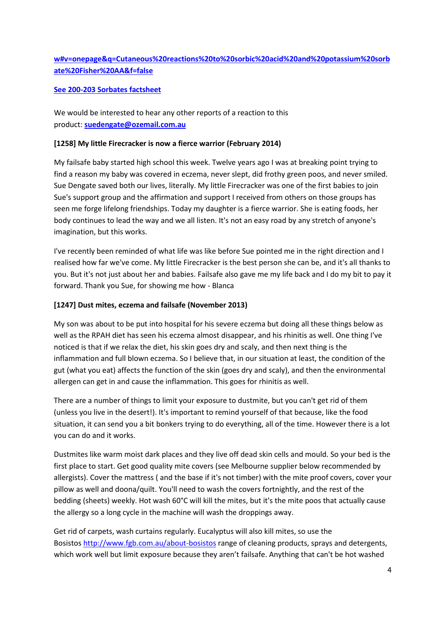# **[w#v=onepage&q=Cutaneous%20reactions%20to%20sorbic%20acid%20and%20potassium%20sorb](http://books.google.com.au/books?id=FDisTRAhLRoC&pg=PA366&lpg=PA366&dq=Cutaneous+reactions+to+sorbic+acid+and+potassium+sorbate+Fisher+AA&source=bl&ots=PmAzNNxk19&sig=PsxzACvnJTZEVvSjLIP1HcFXTPc&hl=en&sa=X&ei=Yf7zUsm0BMfqkAXXioBw&ved=0CDMQ6AEwAw#v=onepage&q=Cutaneous%20reactions%20to%20sorbic%20acid%20and%20potassium%20sorbate%20Fisher%20AA&f=false) [ate%20Fisher%20AA&f=false](http://books.google.com.au/books?id=FDisTRAhLRoC&pg=PA366&lpg=PA366&dq=Cutaneous+reactions+to+sorbic+acid+and+potassium+sorbate+Fisher+AA&source=bl&ots=PmAzNNxk19&sig=PsxzACvnJTZEVvSjLIP1HcFXTPc&hl=en&sa=X&ei=Yf7zUsm0BMfqkAXXioBw&ved=0CDMQ6AEwAw#v=onepage&q=Cutaneous%20reactions%20to%20sorbic%20acid%20and%20potassium%20sorbate%20Fisher%20AA&f=false)**

#### **[See 200-203 Sorbates factsheet](http://fedup.com.au/factsheets/additive-and-natural-chemical-factsheets/200-203-sorbates)**

We would be interested to hear any other reports of a reaction to this product: **[suedengate@ozemail.com.au](mailto:suedengate@ozemail.com.au)**

#### **[1258] My little Firecracker is now a fierce warrior (February 2014)**

My failsafe baby started high school this week. Twelve years ago I was at breaking point trying to find a reason my baby was covered in eczema, never slept, did frothy green poos, and never smiled. Sue Dengate saved both our lives, literally. My little Firecracker was one of the first babies to join Sue's support group and the affirmation and support I received from others on those groups has seen me forge lifelong friendships. Today my daughter is a fierce warrior. She is eating foods, her body continues to lead the way and we all listen. It's not an easy road by any stretch of anyone's imagination, but this works.

I've recently been reminded of what life was like before Sue pointed me in the right direction and I realised how far we've come. My little Firecracker is the best person she can be, and it's all thanks to you. But it's not just about her and babies. Failsafe also gave me my life back and I do my bit to pay it forward. Thank you Sue, for showing me how - Blanca

#### **[1247] Dust mites, eczema and failsafe (November 2013)**

My son was about to be put into hospital for his severe eczema but doing all these things below as well as the RPAH diet has seen his eczema almost disappear, and his rhinitis as well. One thing I've noticed is that if we relax the diet, his skin goes dry and scaly, and then next thing is the inflammation and full blown eczema. So I believe that, in our situation at least, the condition of the gut (what you eat) affects the function of the skin (goes dry and scaly), and then the environmental allergen can get in and cause the inflammation. This goes for rhinitis as well.

There are a number of things to limit your exposure to dustmite, but you can't get rid of them (unless you live in the desert!). It's important to remind yourself of that because, like the food situation, it can send you a bit bonkers trying to do everything, all of the time. However there is a lot you can do and it works.

Dustmites like warm moist dark places and they live off dead skin cells and mould. So your bed is the first place to start. Get good quality mite covers (see Melbourne supplier below recommended by allergists). Cover the mattress ( and the base if it's not timber) with the mite proof covers, cover your pillow as well and doona/quilt. You'll need to wash the covers fortnightly, and the rest of the bedding (sheets) weekly. Hot wash 60°C will kill the mites, but it's the mite poos that actually cause the allergy so a long cycle in the machine will wash the droppings away.

Get rid of carpets, wash curtains regularly. Eucalyptus will also kill mites, so use the Bosistos <http://www.fgb.com.au/about-bosistos> range of cleaning products, sprays and detergents, which work well but limit exposure because they aren't failsafe. Anything that can't be hot washed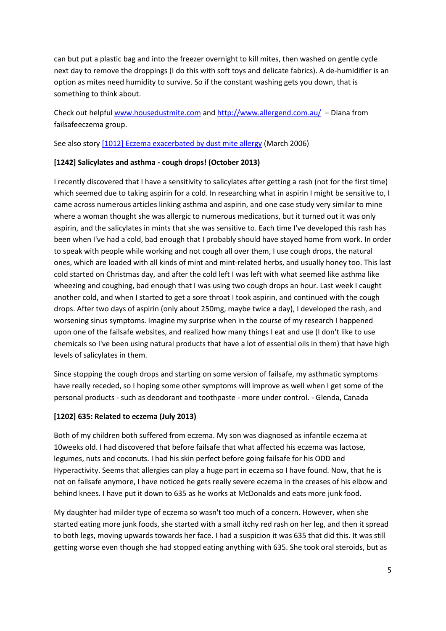can but put a plastic bag and into the freezer overnight to kill mites, then washed on gentle cycle next day to remove the droppings (I do this with soft toys and delicate fabrics). A de-humidifier is an option as mites need humidity to survive. So if the constant washing gets you down, that is something to think about.

Check out helpful [www.housedustmite.com](http://www.housedustmite.com/) and <http://www.allergend.com.au/> – Diana from failsafeeczema group.

See also story [\[1012\] Eczema exacerbated by dust mite allergy](http://fedup.com.au/stories/2006/1012-eczema-exacerbated-by-dust-mite-allergy-march-2006) (March 2006)

# **[1242] Salicylates and asthma - cough drops! (October 2013)**

I recently discovered that I have a sensitivity to salicylates after getting a rash (not for the first time) which seemed due to taking aspirin for a cold. In researching what in aspirin I might be sensitive to, I came across numerous articles linking asthma and aspirin, and one case study very similar to mine where a woman thought she was allergic to numerous medications, but it turned out it was only aspirin, and the salicylates in mints that she was sensitive to. Each time I've developed this rash has been when I've had a cold, bad enough that I probably should have stayed home from work. In order to speak with people while working and not cough all over them, I use cough drops, the natural ones, which are loaded with all kinds of mint and mint-related herbs, and usually honey too. This last cold started on Christmas day, and after the cold left I was left with what seemed like asthma like wheezing and coughing, bad enough that I was using two cough drops an hour. Last week I caught another cold, and when I started to get a sore throat I took aspirin, and continued with the cough drops. After two days of aspirin (only about 250mg, maybe twice a day), I developed the rash, and worsening sinus symptoms. Imagine my surprise when in the course of my research I happened upon one of the failsafe websites, and realized how many things I eat and use (I don't like to use chemicals so I've been using natural products that have a lot of essential oils in them) that have high levels of salicylates in them.

Since stopping the cough drops and starting on some version of failsafe, my asthmatic symptoms have really receded, so I hoping some other symptoms will improve as well when I get some of the personal products - such as deodorant and toothpaste - more under control. - Glenda, Canada

#### **[1202] 635: Related to eczema (July 2013)**

Both of my children both suffered from eczema. My son was diagnosed as infantile eczema at 10weeks old. I had discovered that before failsafe that what affected his eczema was lactose, legumes, nuts and coconuts. I had his skin perfect before going failsafe for his ODD and Hyperactivity. Seems that allergies can play a huge part in eczema so I have found. Now, that he is not on failsafe anymore, I have noticed he gets really severe eczema in the creases of his elbow and behind knees. I have put it down to 635 as he works at McDonalds and eats more junk food.

My daughter had milder type of eczema so wasn't too much of a concern. However, when she started eating more junk foods, she started with a small itchy red rash on her leg, and then it spread to both legs, moving upwards towards her face. I had a suspicion it was 635 that did this. It was still getting worse even though she had stopped eating anything with 635. She took oral steroids, but as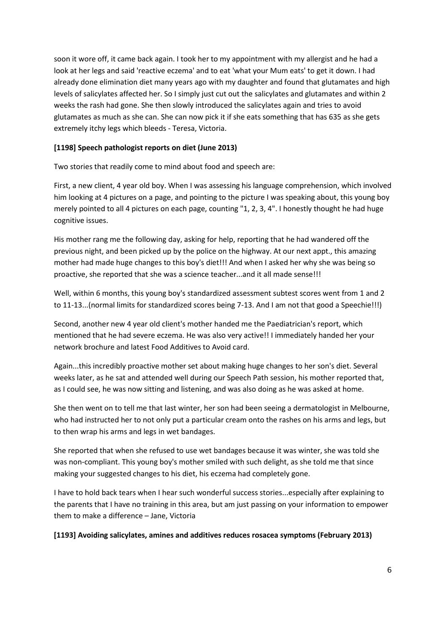soon it wore off, it came back again. I took her to my appointment with my allergist and he had a look at her legs and said 'reactive eczema' and to eat 'what your Mum eats' to get it down. I had already done elimination diet many years ago with my daughter and found that glutamates and high levels of salicylates affected her. So I simply just cut out the salicylates and glutamates and within 2 weeks the rash had gone. She then slowly introduced the salicylates again and tries to avoid glutamates as much as she can. She can now pick it if she eats something that has 635 as she gets extremely itchy legs which bleeds - Teresa, Victoria.

## **[1198] Speech pathologist reports on diet (June 2013)**

Two stories that readily come to mind about food and speech are:

First, a new client, 4 year old boy. When I was assessing his language comprehension, which involved him looking at 4 pictures on a page, and pointing to the picture I was speaking about, this young boy merely pointed to all 4 pictures on each page, counting "1, 2, 3, 4". I honestly thought he had huge cognitive issues.

His mother rang me the following day, asking for help, reporting that he had wandered off the previous night, and been picked up by the police on the highway. At our next appt., this amazing mother had made huge changes to this boy's diet!!! And when I asked her why she was being so proactive, she reported that she was a science teacher...and it all made sense!!!

Well, within 6 months, this young boy's standardized assessment subtest scores went from 1 and 2 to 11-13...(normal limits for standardized scores being 7-13. And I am not that good a Speechie!!!)

Second, another new 4 year old client's mother handed me the Paediatrician's report, which mentioned that he had severe eczema. He was also very active!! I immediately handed her your network brochure and latest Food Additives to Avoid card.

Again...this incredibly proactive mother set about making huge changes to her son's diet. Several weeks later, as he sat and attended well during our Speech Path session, his mother reported that, as I could see, he was now sitting and listening, and was also doing as he was asked at home.

She then went on to tell me that last winter, her son had been seeing a dermatologist in Melbourne, who had instructed her to not only put a particular cream onto the rashes on his arms and legs, but to then wrap his arms and legs in wet bandages.

She reported that when she refused to use wet bandages because it was winter, she was told she was non-compliant. This young boy's mother smiled with such delight, as she told me that since making your suggested changes to his diet, his eczema had completely gone.

I have to hold back tears when I hear such wonderful success stories...especially after explaining to the parents that I have no training in this area, but am just passing on your information to empower them to make a difference – Jane, Victoria

**[1193] Avoiding salicylates, amines and additives reduces rosacea symptoms (February 2013)**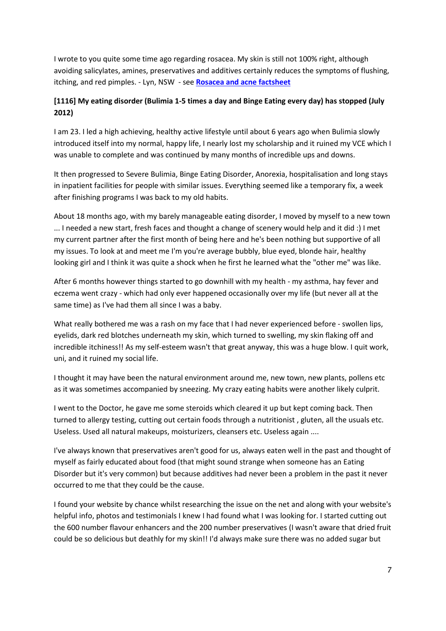I wrote to you quite some time ago regarding rosacea. My skin is still not 100% right, although avoiding salicylates, amines, preservatives and additives certainly reduces the symptoms of flushing, itching, and red pimples. - Lyn, NSW - see **[Rosacea and acne factsheet](http://fedup.com.au/factsheets/symptom-factsheets/rosacea-and-acne)**

# **[1116] My eating disorder (Bulimia 1-5 times a day and Binge Eating every day) has stopped (July 2012)**

I am 23. I led a high achieving, healthy active lifestyle until about 6 years ago when Bulimia slowly introduced itself into my normal, happy life, I nearly lost my scholarship and it ruined my VCE which I was unable to complete and was continued by many months of incredible ups and downs.

It then progressed to Severe Bulimia, Binge Eating Disorder, Anorexia, hospitalisation and long stays in inpatient facilities for people with similar issues. Everything seemed like a temporary fix, a week after finishing programs I was back to my old habits.

About 18 months ago, with my barely manageable eating disorder, I moved by myself to a new town ... I needed a new start, fresh faces and thought a change of scenery would help and it did :) I met my current partner after the first month of being here and he's been nothing but supportive of all my issues. To look at and meet me I'm you're average bubbly, blue eyed, blonde hair, healthy looking girl and I think it was quite a shock when he first he learned what the "other me" was like.

After 6 months however things started to go downhill with my health - my asthma, hay fever and eczema went crazy - which had only ever happened occasionally over my life (but never all at the same time) as I've had them all since I was a baby.

What really bothered me was a rash on my face that I had never experienced before - swollen lips, eyelids, dark red blotches underneath my skin, which turned to swelling, my skin flaking off and incredible itchiness!! As my self-esteem wasn't that great anyway, this was a huge blow. I quit work, uni, and it ruined my social life.

I thought it may have been the natural environment around me, new town, new plants, pollens etc as it was sometimes accompanied by sneezing. My crazy eating habits were another likely culprit.

I went to the Doctor, he gave me some steroids which cleared it up but kept coming back. Then turned to allergy testing, cutting out certain foods through a nutritionist , gluten, all the usuals etc. Useless. Used all natural makeups, moisturizers, cleansers etc. Useless again ....

I've always known that preservatives aren't good for us, always eaten well in the past and thought of myself as fairly educated about food (that might sound strange when someone has an Eating Disorder but it's very common) but because additives had never been a problem in the past it never occurred to me that they could be the cause.

I found your website by chance whilst researching the issue on the net and along with your website's helpful info, photos and testimonials I knew I had found what I was looking for. I started cutting out the 600 number flavour enhancers and the 200 number preservatives (I wasn't aware that dried fruit could be so delicious but deathly for my skin!! I'd always make sure there was no added sugar but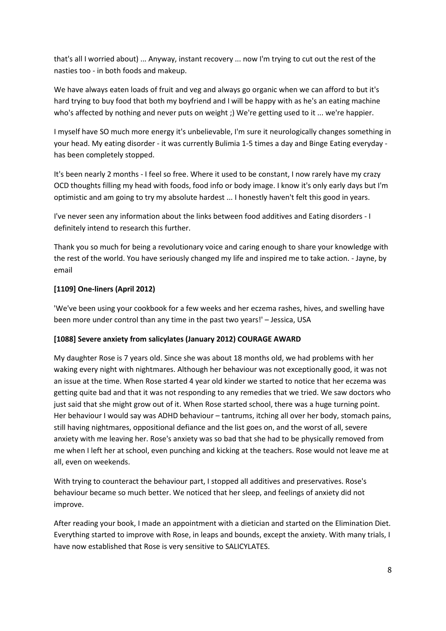that's all I worried about) ... Anyway, instant recovery ... now I'm trying to cut out the rest of the nasties too - in both foods and makeup.

We have always eaten loads of fruit and veg and always go organic when we can afford to but it's hard trying to buy food that both my boyfriend and I will be happy with as he's an eating machine who's affected by nothing and never puts on weight ;) We're getting used to it ... we're happier.

I myself have SO much more energy it's unbelievable, I'm sure it neurologically changes something in your head. My eating disorder - it was currently Bulimia 1-5 times a day and Binge Eating everyday has been completely stopped.

It's been nearly 2 months - I feel so free. Where it used to be constant, I now rarely have my crazy OCD thoughts filling my head with foods, food info or body image. I know it's only early days but I'm optimistic and am going to try my absolute hardest ... I honestly haven't felt this good in years.

I've never seen any information about the links between food additives and Eating disorders - I definitely intend to research this further.

Thank you so much for being a revolutionary voice and caring enough to share your knowledge with the rest of the world. You have seriously changed my life and inspired me to take action. - Jayne, by email

# **[1109] One-liners (April 2012)**

'We've been using your cookbook for a few weeks and her eczema rashes, hives, and swelling have been more under control than any time in the past two years!' – Jessica, USA

#### **[1088] Severe anxiety from salicylates (January 2012) COURAGE AWARD**

My daughter Rose is 7 years old. Since she was about 18 months old, we had problems with her waking every night with nightmares. Although her behaviour was not exceptionally good, it was not an issue at the time. When Rose started 4 year old kinder we started to notice that her eczema was getting quite bad and that it was not responding to any remedies that we tried. We saw doctors who just said that she might grow out of it. When Rose started school, there was a huge turning point. Her behaviour I would say was ADHD behaviour – tantrums, itching all over her body, stomach pains, still having nightmares, oppositional defiance and the list goes on, and the worst of all, severe anxiety with me leaving her. Rose's anxiety was so bad that she had to be physically removed from me when I left her at school, even punching and kicking at the teachers. Rose would not leave me at all, even on weekends.

With trying to counteract the behaviour part, I stopped all additives and preservatives. Rose's behaviour became so much better. We noticed that her sleep, and feelings of anxiety did not improve.

After reading your book, I made an appointment with a dietician and started on the Elimination Diet. Everything started to improve with Rose, in leaps and bounds, except the anxiety. With many trials, I have now established that Rose is very sensitive to SALICYLATES.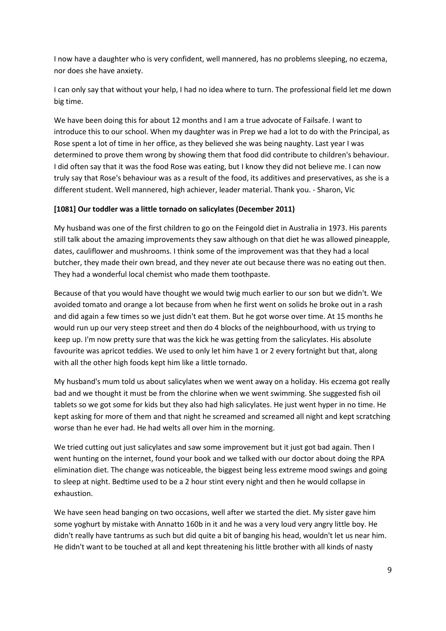I now have a daughter who is very confident, well mannered, has no problems sleeping, no eczema, nor does she have anxiety.

I can only say that without your help, I had no idea where to turn. The professional field let me down big time.

We have been doing this for about 12 months and I am a true advocate of Failsafe. I want to introduce this to our school. When my daughter was in Prep we had a lot to do with the Principal, as Rose spent a lot of time in her office, as they believed she was being naughty. Last year I was determined to prove them wrong by showing them that food did contribute to children's behaviour. I did often say that it was the food Rose was eating, but I know they did not believe me. I can now truly say that Rose's behaviour was as a result of the food, its additives and preservatives, as she is a different student. Well mannered, high achiever, leader material. Thank you. - Sharon, Vic

# **[1081] Our toddler was a little tornado on salicylates (December 2011)**

My husband was one of the first children to go on the Feingold diet in Australia in 1973. His parents still talk about the amazing improvements they saw although on that diet he was allowed pineapple, dates, cauliflower and mushrooms. I think some of the improvement was that they had a local butcher, they made their own bread, and they never ate out because there was no eating out then. They had a wonderful local chemist who made them toothpaste.

Because of that you would have thought we would twig much earlier to our son but we didn't. We avoided tomato and orange a lot because from when he first went on solids he broke out in a rash and did again a few times so we just didn't eat them. But he got worse over time. At 15 months he would run up our very steep street and then do 4 blocks of the neighbourhood, with us trying to keep up. I'm now pretty sure that was the kick he was getting from the salicylates. His absolute favourite was apricot teddies. We used to only let him have 1 or 2 every fortnight but that, along with all the other high foods kept him like a little tornado.

My husband's mum told us about salicylates when we went away on a holiday. His eczema got really bad and we thought it must be from the chlorine when we went swimming. She suggested fish oil tablets so we got some for kids but they also had high salicylates. He just went hyper in no time. He kept asking for more of them and that night he screamed and screamed all night and kept scratching worse than he ever had. He had welts all over him in the morning.

We tried cutting out just salicylates and saw some improvement but it just got bad again. Then I went hunting on the internet, found your book and we talked with our doctor about doing the RPA elimination diet. The change was noticeable, the biggest being less extreme mood swings and going to sleep at night. Bedtime used to be a 2 hour stint every night and then he would collapse in exhaustion.

We have seen head banging on two occasions, well after we started the diet. My sister gave him some yoghurt by mistake with Annatto 160b in it and he was a very loud very angry little boy. He didn't really have tantrums as such but did quite a bit of banging his head, wouldn't let us near him. He didn't want to be touched at all and kept threatening his little brother with all kinds of nasty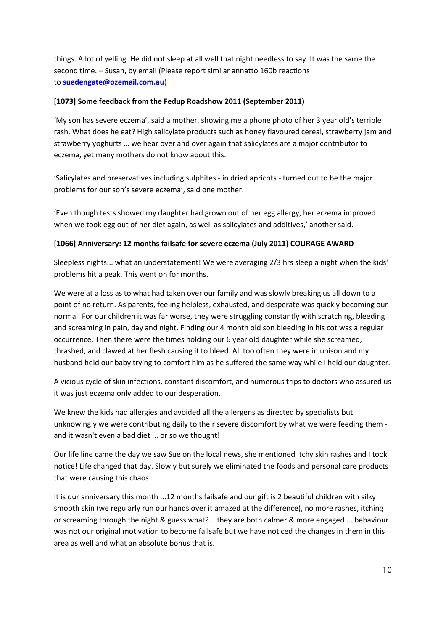things. A lot of yelling. He did not sleep at all well that night needless to say. It was the same the second time. – Susan, by email (Please report similar annatto 160b reactions to **[suedengate@ozemail.com.au](mailto:suedengate@ozemail.com.au)**)

#### **[1073] Some feedback from the Fedup Roadshow 2011 (September 2011)**

'My son has severe eczema', said a mother, showing me a phone photo of her 3 year old's terrible rash. What does he eat? High salicylate products such as honey flavoured cereal, strawberry jam and strawberry yoghurts … we hear over and over again that salicylates are a major contributor to eczema, yet many mothers do not know about this.

'Salicylates and preservatives including sulphites - in dried apricots - turned out to be the major problems for our son's severe eczema', said one mother.

'Even though tests showed my daughter had grown out of her egg allergy, her eczema improved when we took egg out of her diet again, as well as salicylates and additives,' another said.

#### **[1066] Anniversary: 12 months failsafe for severe eczema (July 2011) COURAGE AWARD**

Sleepless nights... what an understatement! We were averaging 2/3 hrs sleep a night when the kids' problems hit a peak. This went on for months.

We were at a loss as to what had taken over our family and was slowly breaking us all down to a point of no return. As parents, feeling helpless, exhausted, and desperate was quickly becoming our normal. For our children it was far worse, they were struggling constantly with scratching, bleeding and screaming in pain, day and night. Finding our 4 month old son bleeding in his cot was a regular occurrence. Then there were the times holding our 6 year old daughter while she screamed, thrashed, and clawed at her flesh causing it to bleed. All too often they were in unison and my husband held our baby trying to comfort him as he suffered the same way while I held our daughter.

A vicious cycle of skin infections, constant discomfort, and numerous trips to doctors who assured us it was just eczema only added to our desperation.

We knew the kids had allergies and avoided all the allergens as directed by specialists but unknowingly we were contributing daily to their severe discomfort by what we were feeding them and it wasn't even a bad diet ... or so we thought!

Our life line came the day we saw Sue on the local news, she mentioned itchy skin rashes and I took notice! Life changed that day. Slowly but surely we eliminated the foods and personal care products that were causing this chaos.

It is our anniversary this month ...12 months failsafe and our gift is 2 beautiful children with silky smooth skin (we regularly run our hands over it amazed at the difference), no more rashes, itching or screaming through the night & guess what?... they are both calmer & more engaged ... behaviour was not our original motivation to become failsafe but we have noticed the changes in them in this area as well and what an absolute bonus that is.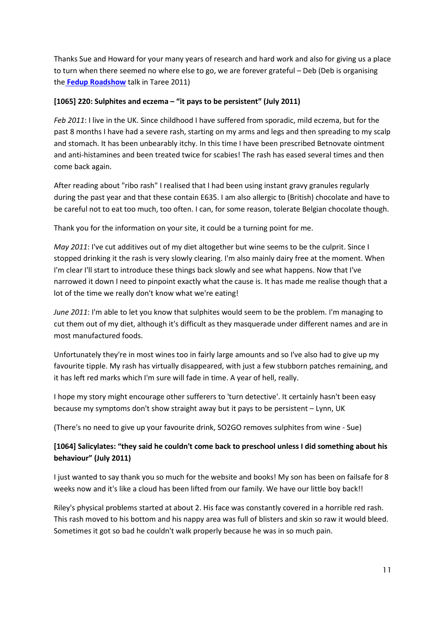Thanks Sue and Howard for your many years of research and hard work and also for giving us a place to turn when there seemed no where else to go, we are forever grateful – Deb (Deb is organising the **[Fedup Roadshow](http://fedup.com.au/information/support/fedup-roadshow-talks)** talk in Taree 2011)

#### **[1065] 220: Sulphites and eczema – "it pays to be persistent" (July 2011)**

*Feb 2011*: I live in the UK. Since childhood I have suffered from sporadic, mild eczema, but for the past 8 months I have had a severe rash, starting on my arms and legs and then spreading to my scalp and stomach. It has been unbearably itchy. In this time I have been prescribed Betnovate ointment and anti-histamines and been treated twice for scabies! The rash has eased several times and then come back again.

After reading about "ribo rash" I realised that I had been using instant gravy granules regularly during the past year and that these contain E635. I am also allergic to (British) chocolate and have to be careful not to eat too much, too often. I can, for some reason, tolerate Belgian chocolate though.

Thank you for the information on your site, it could be a turning point for me.

*May 2011*: I've cut additives out of my diet altogether but wine seems to be the culprit. Since I stopped drinking it the rash is very slowly clearing. I'm also mainly dairy free at the moment. When I'm clear I'll start to introduce these things back slowly and see what happens. Now that I've narrowed it down I need to pinpoint exactly what the cause is. It has made me realise though that a lot of the time we really don't know what we're eating!

*June 2011*: I'm able to let you know that sulphites would seem to be the problem. I'm managing to cut them out of my diet, although it's difficult as they masquerade under different names and are in most manufactured foods.

Unfortunately they're in most wines too in fairly large amounts and so I've also had to give up my favourite tipple. My rash has virtually disappeared, with just a few stubborn patches remaining, and it has left red marks which I'm sure will fade in time. A year of hell, really.

I hope my story might encourage other sufferers to 'turn detective'. It certainly hasn't been easy because my symptoms don't show straight away but it pays to be persistent – Lynn, UK

(There's no need to give up your favourite drink, SO2GO removes sulphites from wine - Sue)

# **[1064] Salicylates: "they said he couldn't come back to preschool unless I did something about his behaviour" (July 2011)**

I just wanted to say thank you so much for the website and books! My son has been on failsafe for 8 weeks now and it's like a cloud has been lifted from our family. We have our little boy back!!

Riley's physical problems started at about 2. His face was constantly covered in a horrible red rash. This rash moved to his bottom and his nappy area was full of blisters and skin so raw it would bleed. Sometimes it got so bad he couldn't walk properly because he was in so much pain.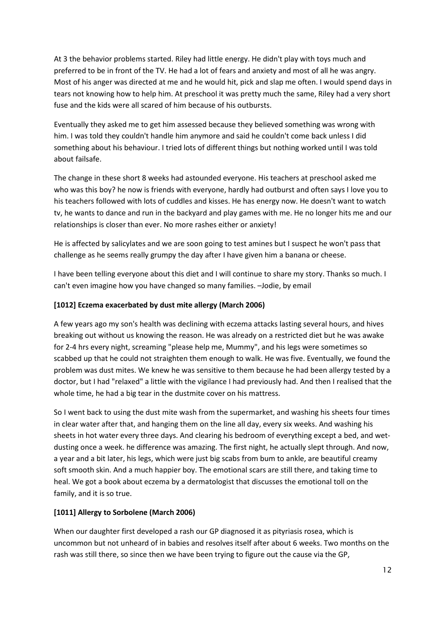At 3 the behavior problems started. Riley had little energy. He didn't play with toys much and preferred to be in front of the TV. He had a lot of fears and anxiety and most of all he was angry. Most of his anger was directed at me and he would hit, pick and slap me often. I would spend days in tears not knowing how to help him. At preschool it was pretty much the same, Riley had a very short fuse and the kids were all scared of him because of his outbursts.

Eventually they asked me to get him assessed because they believed something was wrong with him. I was told they couldn't handle him anymore and said he couldn't come back unless I did something about his behaviour. I tried lots of different things but nothing worked until I was told about failsafe.

The change in these short 8 weeks had astounded everyone. His teachers at preschool asked me who was this boy? he now is friends with everyone, hardly had outburst and often says I love you to his teachers followed with lots of cuddles and kisses. He has energy now. He doesn't want to watch tv, he wants to dance and run in the backyard and play games with me. He no longer hits me and our relationships is closer than ever. No more rashes either or anxiety!

He is affected by salicylates and we are soon going to test amines but I suspect he won't pass that challenge as he seems really grumpy the day after I have given him a banana or cheese.

I have been telling everyone about this diet and I will continue to share my story. Thanks so much. I can't even imagine how you have changed so many families. –Jodie, by email

# **[1012] Eczema exacerbated by dust mite allergy (March 2006)**

A few years ago my son's health was declining with eczema attacks lasting several hours, and hives breaking out without us knowing the reason. He was already on a restricted diet but he was awake for 2-4 hrs every night, screaming "please help me, Mummy", and his legs were sometimes so scabbed up that he could not straighten them enough to walk. He was five. Eventually, we found the problem was dust mites. We knew he was sensitive to them because he had been allergy tested by a doctor, but I had "relaxed" a little with the vigilance I had previously had. And then I realised that the whole time, he had a big tear in the dustmite cover on his mattress.

So I went back to using the dust mite wash from the supermarket, and washing his sheets four times in clear water after that, and hanging them on the line all day, every six weeks. And washing his sheets in hot water every three days. And clearing his bedroom of everything except a bed, and wetdusting once a week. he difference was amazing. The first night, he actually slept through. And now, a year and a bit later, his legs, which were just big scabs from bum to ankle, are beautiful creamy soft smooth skin. And a much happier boy. The emotional scars are still there, and taking time to heal. We got a book about eczema by a dermatologist that discusses the emotional toll on the family, and it is so true.

#### **[1011] Allergy to Sorbolene (March 2006)**

When our daughter first developed a rash our GP diagnosed it as pityriasis rosea, which is uncommon but not unheard of in babies and resolves itself after about 6 weeks. Two months on the rash was still there, so since then we have been trying to figure out the cause via the GP,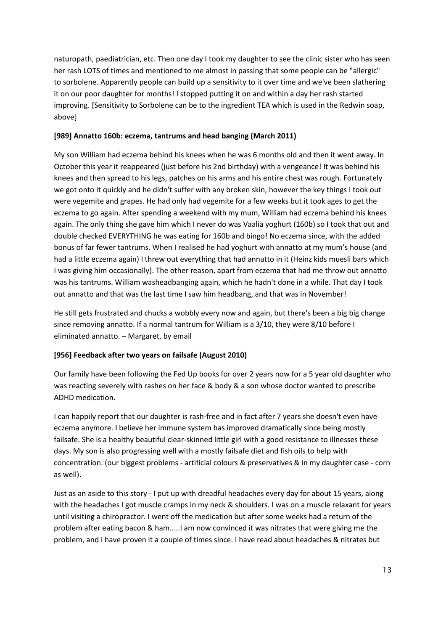naturopath, paediatrician, etc. Then one day I took my daughter to see the clinic sister who has seen her rash LOTS of times and mentioned to me almost in passing that some people can be "allergic" to sorbolene. Apparently people can build up a sensitivity to it over time and we've been slathering it on our poor daughter for months! I stopped putting it on and within a day her rash started improving. [Sensitivity to Sorbolene can be to the ingredient TEA which is used in the Redwin soap, above]

#### **[989] Annatto 160b: eczema, tantrums and head banging (March 2011)**

My son William had eczema behind his knees when he was 6 months old and then it went away. In October this year it reappeared (just before his 2nd birthday) with a vengeance! It was behind his knees and then spread to his legs, patches on his arms and his entire chest was rough. Fortunately we got onto it quickly and he didn't suffer with any broken skin, however the key things I took out were vegemite and grapes. He had only had vegemite for a few weeks but it took ages to get the eczema to go again. After spending a weekend with my mum, William had eczema behind his knees again. The only thing she gave him which I never do was Vaalia yoghurt (160b) so I took that out and double checked EVERYTHING he was eating for 160b and bingo! No eczema since, with the added bonus of far fewer tantrums. When I realised he had yoghurt with annatto at my mum's house (and had a little eczema again) I threw out everything that had annatto in it (Heinz kids muesli bars which I was giving him occasionally). The other reason, apart from eczema that had me throw out annatto was his tantrums. William washeadbanging again, which he hadn't done in a while. That day I took out annatto and that was the last time I saw him headbang, and that was in November!

He still gets frustrated and chucks a wobbly every now and again, but there's been a big big change since removing annatto. If a normal tantrum for William is a 3/10, they were 8/10 before I eliminated annatto. – Margaret, by email

#### **[956] Feedback after two years on failsafe (August 2010)**

Our family have been following the Fed Up books for over 2 years now for a 5 year old daughter who was reacting severely with rashes on her face & body & a son whose doctor wanted to prescribe ADHD medication.

I can happily report that our daughter is rash-free and in fact after 7 years she doesn't even have eczema anymore. I believe her immune system has improved dramatically since being mostly failsafe. She is a healthy beautiful clear-skinned little girl with a good resistance to illnesses these days. My son is also progressing well with a mostly failsafe diet and fish oils to help with concentration. (our biggest problems - artificial colours & preservatives & in my daughter case - corn as well).

Just as an aside to this story - I put up with dreadful headaches every day for about 15 years, along with the headaches I got muscle cramps in my neck & shoulders. I was on a muscle relaxant for years until visiting a chiropractor. I went off the medication but after some weeks had a return of the problem after eating bacon & ham.....I am now convinced it was nitrates that were giving me the problem, and I have proven it a couple of times since. I have read about headaches & nitrates but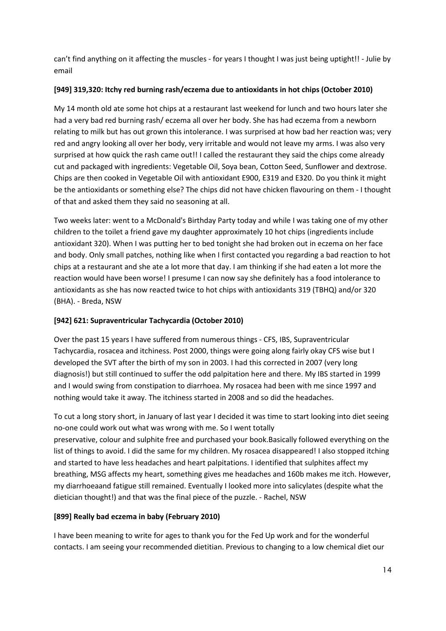can't find anything on it affecting the muscles - for years I thought I was just being uptight!! - Julie by email

# **[949] 319,320: Itchy red burning rash/eczema due to antioxidants in hot chips (October 2010)**

My 14 month old ate some hot chips at a restaurant last weekend for lunch and two hours later she had a very bad red burning rash/ eczema all over her body. She has had eczema from a newborn relating to milk but has out grown this intolerance. I was surprised at how bad her reaction was; very red and angry looking all over her body, very irritable and would not leave my arms. I was also very surprised at how quick the rash came out!! I called the restaurant they said the chips come already cut and packaged with ingredients: Vegetable Oil, Soya bean, Cotton Seed, Sunflower and dextrose. Chips are then cooked in Vegetable Oil with antioxidant E900, E319 and E320. Do you think it might be the antioxidants or something else? The chips did not have chicken flavouring on them - I thought of that and asked them they said no seasoning at all.

Two weeks later: went to a McDonald's Birthday Party today and while I was taking one of my other children to the toilet a friend gave my daughter approximately 10 hot chips (ingredients include antioxidant 320). When I was putting her to bed tonight she had broken out in eczema on her face and body. Only small patches, nothing like when I first contacted you regarding a bad reaction to hot chips at a restaurant and she ate a lot more that day. I am thinking if she had eaten a lot more the reaction would have been worse! I presume I can now say she definitely has a food intolerance to antioxidants as she has now reacted twice to hot chips with antioxidants 319 (TBHQ) and/or 320 (BHA). - Breda, NSW

# **[942] 621: Supraventricular Tachycardia (October 2010)**

Over the past 15 years I have suffered from numerous things - CFS, IBS, Supraventricular Tachycardia, rosacea and itchiness. Post 2000, things were going along fairly okay CFS wise but I developed the SVT after the birth of my son in 2003. I had this corrected in 2007 (very long diagnosis!) but still continued to suffer the odd palpitation here and there. My IBS started in 1999 and I would swing from constipation to diarrhoea. My rosacea had been with me since 1997 and nothing would take it away. The itchiness started in 2008 and so did the headaches.

To cut a long story short, in January of last year I decided it was time to start looking into diet seeing no-one could work out what was wrong with me. So I went totally preservative, colour and sulphite free and purchased your book.Basically followed everything on the list of things to avoid. I did the same for my children. My rosacea disappeared! I also stopped itching and started to have less headaches and heart palpitations. I identified that sulphites affect my breathing, MSG affects my heart, something gives me headaches and 160b makes me itch. However, my diarrhoeaand fatigue still remained. Eventually I looked more into salicylates (despite what the dietician thought!) and that was the final piece of the puzzle. - Rachel, NSW

# **[899] Really bad eczema in baby (February 2010)**

I have been meaning to write for ages to thank you for the Fed Up work and for the wonderful contacts. I am seeing your recommended dietitian. Previous to changing to a low chemical diet our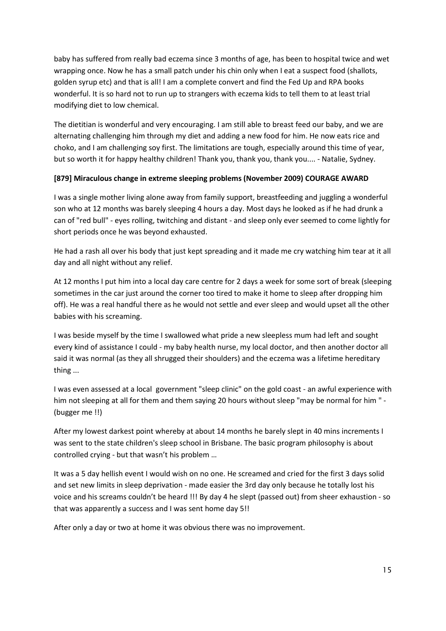baby has suffered from really bad eczema since 3 months of age, has been to hospital twice and wet wrapping once. Now he has a small patch under his chin only when I eat a suspect food (shallots, golden syrup etc) and that is all! I am a complete convert and find the Fed Up and RPA books wonderful. It is so hard not to run up to strangers with eczema kids to tell them to at least trial modifying diet to low chemical.

The dietitian is wonderful and very encouraging. I am still able to breast feed our baby, and we are alternating challenging him through my diet and adding a new food for him. He now eats rice and choko, and I am challenging soy first. The limitations are tough, especially around this time of year, but so worth it for happy healthy children! Thank you, thank you, thank you.... - Natalie, Sydney.

#### **[879] Miraculous change in extreme sleeping problems (November 2009) COURAGE AWARD**

I was a single mother living alone away from family support, breastfeeding and juggling a wonderful son who at 12 months was barely sleeping 4 hours a day. Most days he looked as if he had drunk a can of "red bull" - eyes rolling, twitching and distant - and sleep only ever seemed to come lightly for short periods once he was beyond exhausted.

He had a rash all over his body that just kept spreading and it made me cry watching him tear at it all day and all night without any relief.

At 12 months I put him into a local day care centre for 2 days a week for some sort of break (sleeping sometimes in the car just around the corner too tired to make it home to sleep after dropping him off). He was a real handful there as he would not settle and ever sleep and would upset all the other babies with his screaming.

I was beside myself by the time I swallowed what pride a new sleepless mum had left and sought every kind of assistance I could - my baby health nurse, my local doctor, and then another doctor all said it was normal (as they all shrugged their shoulders) and the eczema was a lifetime hereditary thing ...

I was even assessed at a local government "sleep clinic" on the gold coast - an awful experience with him not sleeping at all for them and them saying 20 hours without sleep "may be normal for him " - (bugger me !!)

After my lowest darkest point whereby at about 14 months he barely slept in 40 mins increments I was sent to the state children's sleep school in Brisbane. The basic program philosophy is about controlled crying - but that wasn't his problem …

It was a 5 day hellish event I would wish on no one. He screamed and cried for the first 3 days solid and set new limits in sleep deprivation - made easier the 3rd day only because he totally lost his voice and his screams couldn't be heard !!! By day 4 he slept (passed out) from sheer exhaustion - so that was apparently a success and I was sent home day 5!!

After only a day or two at home it was obvious there was no improvement.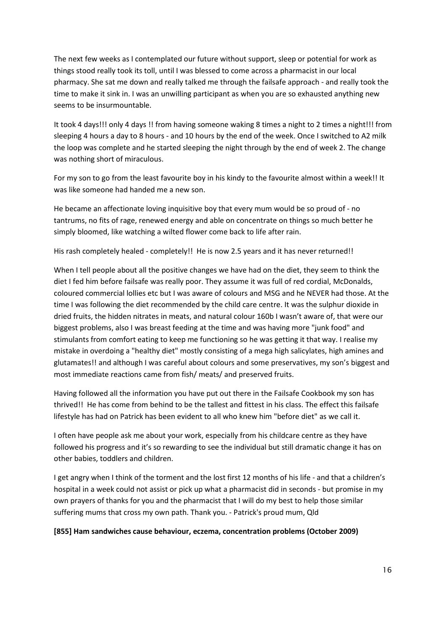The next few weeks as I contemplated our future without support, sleep or potential for work as things stood really took its toll, until I was blessed to come across a pharmacist in our local pharmacy. She sat me down and really talked me through the failsafe approach - and really took the time to make it sink in. I was an unwilling participant as when you are so exhausted anything new seems to be insurmountable.

It took 4 days!!! only 4 days !! from having someone waking 8 times a night to 2 times a night!!! from sleeping 4 hours a day to 8 hours - and 10 hours by the end of the week. Once I switched to A2 milk the loop was complete and he started sleeping the night through by the end of week 2. The change was nothing short of miraculous.

For my son to go from the least favourite boy in his kindy to the favourite almost within a week!! It was like someone had handed me a new son.

He became an affectionate loving inquisitive boy that every mum would be so proud of - no tantrums, no fits of rage, renewed energy and able on concentrate on things so much better he simply bloomed, like watching a wilted flower come back to life after rain.

His rash completely healed - completely!! He is now 2.5 years and it has never returned!!

When I tell people about all the positive changes we have had on the diet, they seem to think the diet I fed him before failsafe was really poor. They assume it was full of red cordial, McDonalds, coloured commercial lollies etc but I was aware of colours and MSG and he NEVER had those. At the time I was following the diet recommended by the child care centre. It was the sulphur dioxide in dried fruits, the hidden nitrates in meats, and natural colour 160b I wasn't aware of, that were our biggest problems, also I was breast feeding at the time and was having more "junk food" and stimulants from comfort eating to keep me functioning so he was getting it that way. I realise my mistake in overdoing a "healthy diet" mostly consisting of a mega high salicylates, high amines and glutamates!! and although I was careful about colours and some preservatives, my son's biggest and most immediate reactions came from fish/ meats/ and preserved fruits.

Having followed all the information you have put out there in the Failsafe Cookbook my son has thrived!! He has come from behind to be the tallest and fittest in his class. The effect this failsafe lifestyle has had on Patrick has been evident to all who knew him "before diet" as we call it.

I often have people ask me about your work, especially from his childcare centre as they have followed his progress and it's so rewarding to see the individual but still dramatic change it has on other babies, toddlers and children.

I get angry when I think of the torment and the lost first 12 months of his life - and that a children's hospital in a week could not assist or pick up what a pharmacist did in seconds - but promise in my own prayers of thanks for you and the pharmacist that I will do my best to help those similar suffering mums that cross my own path. Thank you. - Patrick's proud mum, Qld

#### **[855] Ham sandwiches cause behaviour, eczema, concentration problems (October 2009)**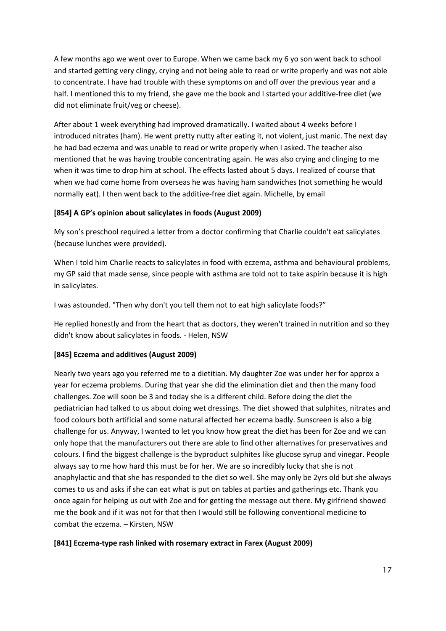A few months ago we went over to Europe. When we came back my 6 yo son went back to school and started getting very clingy, crying and not being able to read or write properly and was not able to concentrate. I have had trouble with these symptoms on and off over the previous year and a half. I mentioned this to my friend, she gave me the book and I started your additive-free diet (we did not eliminate fruit/veg or cheese).

After about 1 week everything had improved dramatically. I waited about 4 weeks before I introduced nitrates (ham). He went pretty nutty after eating it, not violent, just manic. The next day he had bad eczema and was unable to read or write properly when I asked. The teacher also mentioned that he was having trouble concentrating again. He was also crying and clinging to me when it was time to drop him at school. The effects lasted about 5 days. I realized of course that when we had come home from overseas he was having ham sandwiches (not something he would normally eat). I then went back to the additive-free diet again. Michelle, by email

# **[854] A GP's opinion about salicylates in foods (August 2009)**

My son's preschool required a letter from a doctor confirming that Charlie couldn't eat salicylates (because lunches were provided).

When I told him Charlie reacts to salicylates in food with eczema, asthma and behavioural problems, my GP said that made sense, since people with asthma are told not to take aspirin because it is high in salicylates.

I was astounded. "Then why don't you tell them not to eat high salicylate foods?"

He replied honestly and from the heart that as doctors, they weren't trained in nutrition and so they didn't know about salicylates in foods. - Helen, NSW

# **[845] Eczema and additives (August 2009)**

Nearly two years ago you referred me to a dietitian. My daughter Zoe was under her for approx a year for eczema problems. During that year she did the elimination diet and then the many food challenges. Zoe will soon be 3 and today she is a different child. Before doing the diet the pediatrician had talked to us about doing wet dressings. The diet showed that sulphites, nitrates and food colours both artificial and some natural affected her eczema badly. Sunscreen is also a big challenge for us. Anyway, I wanted to let you know how great the diet has been for Zoe and we can only hope that the manufacturers out there are able to find other alternatives for preservatives and colours. I find the biggest challenge is the byproduct sulphites like glucose syrup and vinegar. People always say to me how hard this must be for her. We are so incredibly lucky that she is not anaphylactic and that she has responded to the diet so well. She may only be 2yrs old but she always comes to us and asks if she can eat what is put on tables at parties and gatherings etc. Thank you once again for helping us out with Zoe and for getting the message out there. My girlfriend showed me the book and if it was not for that then I would still be following conventional medicine to combat the eczema. – Kirsten, NSW

#### **[841] Eczema-type rash linked with rosemary extract in Farex (August 2009)**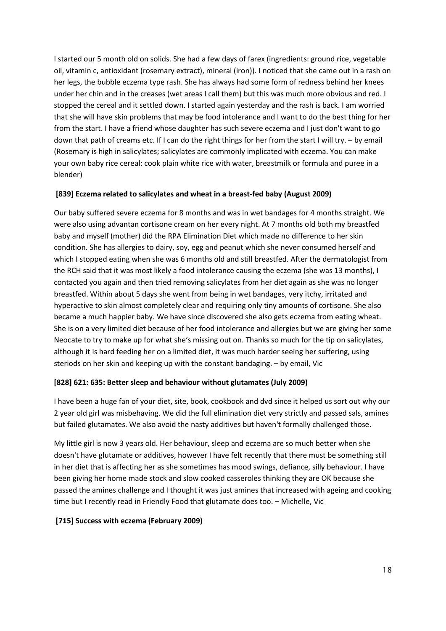I started our 5 month old on solids. She had a few days of farex (ingredients: ground rice, vegetable oil, vitamin c, antioxidant (rosemary extract), mineral (iron)). I noticed that she came out in a rash on her legs, the bubble eczema type rash. She has always had some form of redness behind her knees under her chin and in the creases (wet areas I call them) but this was much more obvious and red. I stopped the cereal and it settled down. I started again yesterday and the rash is back. I am worried that she will have skin problems that may be food intolerance and I want to do the best thing for her from the start. I have a friend whose daughter has such severe eczema and I just don't want to go down that path of creams etc. If I can do the right things for her from the start I will try. – by email (Rosemary is high in salicylates; salicylates are commonly implicated with eczema. You can make your own baby rice cereal: cook plain white rice with water, breastmilk or formula and puree in a blender)

#### **[839] Eczema related to salicylates and wheat in a breast-fed baby (August 2009)**

Our baby suffered severe eczema for 8 months and was in wet bandages for 4 months straight. We were also using advantan cortisone cream on her every night. At 7 months old both my breastfed baby and myself (mother) did the RPA Elimination Diet which made no difference to her skin condition. She has allergies to dairy, soy, egg and peanut which she never consumed herself and which I stopped eating when she was 6 months old and still breastfed. After the dermatologist from the RCH said that it was most likely a food intolerance causing the eczema (she was 13 months), I contacted you again and then tried removing salicylates from her diet again as she was no longer breastfed. Within about 5 days she went from being in wet bandages, very itchy, irritated and hyperactive to skin almost completely clear and requiring only tiny amounts of cortisone. She also became a much happier baby. We have since discovered she also gets eczema from eating wheat. She is on a very limited diet because of her food intolerance and allergies but we are giving her some Neocate to try to make up for what she's missing out on. Thanks so much for the tip on salicylates, although it is hard feeding her on a limited diet, it was much harder seeing her suffering, using steriods on her skin and keeping up with the constant bandaging. – by email, Vic

#### **[828] 621: 635: Better sleep and behaviour without glutamates (July 2009)**

I have been a huge fan of your diet, site, book, cookbook and dvd since it helped us sort out why our 2 year old girl was misbehaving. We did the full elimination diet very strictly and passed sals, amines but failed glutamates. We also avoid the nasty additives but haven't formally challenged those.

My little girl is now 3 years old. Her behaviour, sleep and eczema are so much better when she doesn't have glutamate or additives, however I have felt recently that there must be something still in her diet that is affecting her as she sometimes has mood swings, defiance, silly behaviour. I have been giving her home made stock and slow cooked casseroles thinking they are OK because she passed the amines challenge and I thought it was just amines that increased with ageing and cooking time but I recently read in Friendly Food that glutamate does too. – Michelle, Vic

#### **[715] Success with eczema (February 2009)**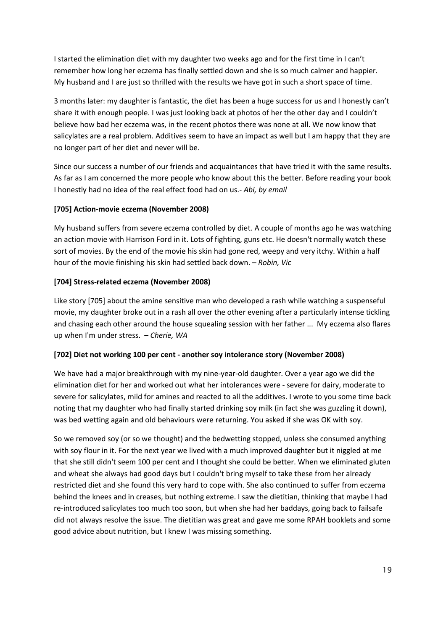I started the elimination diet with my daughter two weeks ago and for the first time in I can't remember how long her eczema has finally settled down and she is so much calmer and happier. My husband and I are just so thrilled with the results we have got in such a short space of time.

3 months later: my daughter is fantastic, the diet has been a huge success for us and I honestly can't share it with enough people. I was just looking back at photos of her the other day and I couldn't believe how bad her eczema was, in the recent photos there was none at all. We now know that salicylates are a real problem. Additives seem to have an impact as well but I am happy that they are no longer part of her diet and never will be.

Since our success a number of our friends and acquaintances that have tried it with the same results. As far as I am concerned the more people who know about this the better. Before reading your book I honestly had no idea of the real effect food had on us.- *Abi, by email*

#### **[705] Action-movie eczema (November 2008)**

My husband suffers from severe eczema controlled by diet. A couple of months ago he was watching an action movie with Harrison Ford in it. Lots of fighting, guns etc. He doesn't normally watch these sort of movies. By the end of the movie his skin had gone red, weepy and very itchy. Within a half hour of the movie finishing his skin had settled back down. – *Robin, Vic*

# **[704] Stress-related eczema (November 2008)**

Like story [705] about the amine sensitive man who developed a rash while watching a suspenseful movie, my daughter broke out in a rash all over the other evening after a particularly intense tickling and chasing each other around the house squealing session with her father ... My eczema also flares up when I'm under stress. – *Cherie, WA*

#### **[702] Diet not working 100 per cent - another soy intolerance story (November 2008)**

We have had a major breakthrough with my nine-year-old daughter. Over a year ago we did the elimination diet for her and worked out what her intolerances were - severe for dairy, moderate to severe for salicylates, mild for amines and reacted to all the additives. I wrote to you some time back noting that my daughter who had finally started drinking soy milk (in fact she was guzzling it down), was bed wetting again and old behaviours were returning. You asked if she was OK with soy.

So we removed soy (or so we thought) and the bedwetting stopped, unless she consumed anything with soy flour in it. For the next year we lived with a much improved daughter but it niggled at me that she still didn't seem 100 per cent and I thought she could be better. When we eliminated gluten and wheat she always had good days but I couldn't bring myself to take these from her already restricted diet and she found this very hard to cope with. She also continued to suffer from eczema behind the knees and in creases, but nothing extreme. I saw the dietitian, thinking that maybe I had re-introduced salicylates too much too soon, but when she had her baddays, going back to failsafe did not always resolve the issue. The dietitian was great and gave me some RPAH booklets and some good advice about nutrition, but I knew I was missing something.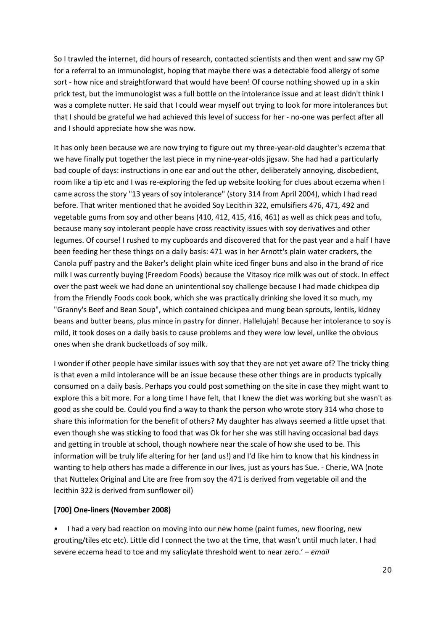So I trawled the internet, did hours of research, contacted scientists and then went and saw my GP for a referral to an immunologist, hoping that maybe there was a detectable food allergy of some sort - how nice and straightforward that would have been! Of course nothing showed up in a skin prick test, but the immunologist was a full bottle on the intolerance issue and at least didn't think I was a complete nutter. He said that I could wear myself out trying to look for more intolerances but that I should be grateful we had achieved this level of success for her - no-one was perfect after all and I should appreciate how she was now.

It has only been because we are now trying to figure out my three-year-old daughter's eczema that we have finally put together the last piece in my nine-year-olds jigsaw. She had had a particularly bad couple of days: instructions in one ear and out the other, deliberately annoying, disobedient, room like a tip etc and I was re-exploring the fed up website looking for clues about eczema when I came across the story "13 years of soy intolerance" (story 314 from April 2004), which I had read before. That writer mentioned that he avoided Soy Lecithin 322, emulsifiers 476, 471, 492 and vegetable gums from soy and other beans (410, 412, 415, 416, 461) as well as chick peas and tofu, because many soy intolerant people have cross reactivity issues with soy derivatives and other legumes. Of course! I rushed to my cupboards and discovered that for the past year and a half I have been feeding her these things on a daily basis: 471 was in her Arnott's plain water crackers, the Canola puff pastry and the Baker's delight plain white iced finger buns and also in the brand of rice milk I was currently buying (Freedom Foods) because the Vitasoy rice milk was out of stock. In effect over the past week we had done an unintentional soy challenge because I had made chickpea dip from the Friendly Foods cook book, which she was practically drinking she loved it so much, my "Granny's Beef and Bean Soup", which contained chickpea and mung bean sprouts, lentils, kidney beans and butter beans, plus mince in pastry for dinner. Hallelujah! Because her intolerance to soy is mild, it took doses on a daily basis to cause problems and they were low level, unlike the obvious ones when she drank bucketloads of soy milk.

I wonder if other people have similar issues with soy that they are not yet aware of? The tricky thing is that even a mild intolerance will be an issue because these other things are in products typically consumed on a daily basis. Perhaps you could post something on the site in case they might want to explore this a bit more. For a long time I have felt, that I knew the diet was working but she wasn't as good as she could be. Could you find a way to thank the person who wrote story 314 who chose to share this information for the benefit of others? My daughter has always seemed a little upset that even though she was sticking to food that was Ok for her she was still having occasional bad days and getting in trouble at school, though nowhere near the scale of how she used to be. This information will be truly life altering for her (and us!) and I'd like him to know that his kindness in wanting to help others has made a difference in our lives, just as yours has Sue. - Cherie, WA (note that Nuttelex Original and Lite are free from soy the 471 is derived from vegetable oil and the lecithin 322 is derived from sunflower oil)

#### **[700] One-liners (November 2008)**

• I had a very bad reaction on moving into our new home (paint fumes, new flooring, new grouting/tiles etc etc). Little did I connect the two at the time, that wasn't until much later. I had severe eczema head to toe and my salicylate threshold went to near zero.' *– email*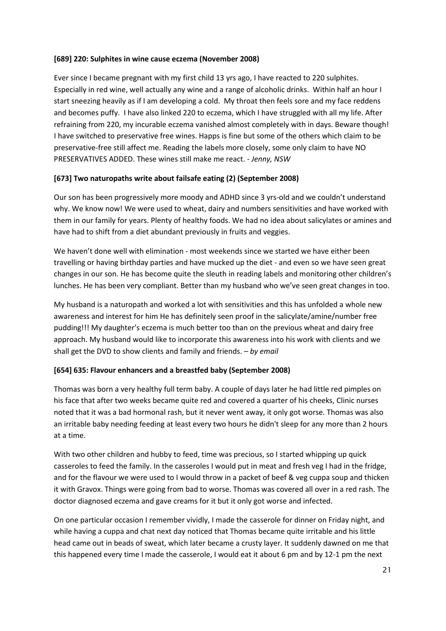#### **[689] 220: Sulphites in wine cause eczema (November 2008)**

Ever since I became pregnant with my first child 13 yrs ago, I have reacted to 220 sulphites. Especially in red wine, well actually any wine and a range of alcoholic drinks. Within half an hour I start sneezing heavily as if I am developing a cold. My throat then feels sore and my face reddens and becomes puffy. I have also linked 220 to eczema, which I have struggled with all my life. After refraining from 220, my incurable eczema vanished almost completely with in days. Beware though! I have switched to preservative free wines. Happs is fine but some of the others which claim to be preservative-free still affect me. Reading the labels more closely, some only claim to have NO PRESERVATIVES ADDED. These wines still make me react. - *Jenny, NSW*

#### **[673] Two naturopaths write about failsafe eating (2) (September 2008)**

Our son has been progressively more moody and ADHD since 3 yrs-old and we couldn't understand why. We know now! We were used to wheat, dairy and numbers sensitivities and have worked with them in our family for years. Plenty of healthy foods. We had no idea about salicylates or amines and have had to shift from a diet abundant previously in fruits and veggies.

We haven't done well with elimination - most weekends since we started we have either been travelling or having birthday parties and have mucked up the diet - and even so we have seen great changes in our son. He has become quite the sleuth in reading labels and monitoring other children's lunches. He has been very compliant. Better than my husband who we've seen great changes in too.

My husband is a naturopath and worked a lot with sensitivities and this has unfolded a whole new awareness and interest for him He has definitely seen proof in the salicylate/amine/number free pudding!!! My daughter's eczema is much better too than on the previous wheat and dairy free approach. My husband would like to incorporate this awareness into his work with clients and we shall get the DVD to show clients and family and friends. – *by email*

#### **[654] 635: Flavour enhancers and a breastfed baby (September 2008)**

Thomas was born a very healthy full term baby. A couple of days later he had little red pimples on his face that after two weeks became quite red and covered a quarter of his cheeks, Clinic nurses noted that it was a bad hormonal rash, but it never went away, it only got worse. Thomas was also an irritable baby needing feeding at least every two hours he didn't sleep for any more than 2 hours at a time.

With two other children and hubby to feed, time was precious, so I started whipping up quick casseroles to feed the family. In the casseroles I would put in meat and fresh veg I had in the fridge, and for the flavour we were used to I would throw in a packet of beef & veg cuppa soup and thicken it with Gravox. Things were going from bad to worse. Thomas was covered all over in a red rash. The doctor diagnosed eczema and gave creams for it but it only got worse and infected.

On one particular occasion I remember vividly, I made the casserole for dinner on Friday night, and while having a cuppa and chat next day noticed that Thomas became quite irritable and his little head came out in beads of sweat, which later became a crusty layer. It suddenly dawned on me that this happened every time I made the casserole, I would eat it about 6 pm and by 12-1 pm the next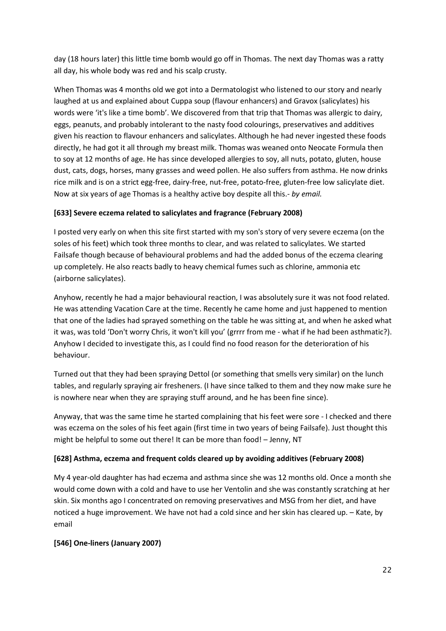day (18 hours later) this little time bomb would go off in Thomas. The next day Thomas was a ratty all day, his whole body was red and his scalp crusty.

When Thomas was 4 months old we got into a Dermatologist who listened to our story and nearly laughed at us and explained about Cuppa soup (flavour enhancers) and Gravox (salicylates) his words were 'it's like a time bomb'. We discovered from that trip that Thomas was allergic to dairy, eggs, peanuts, and probably intolerant to the nasty food colourings, preservatives and additives given his reaction to flavour enhancers and salicylates. Although he had never ingested these foods directly, he had got it all through my breast milk. Thomas was weaned onto Neocate Formula then to soy at 12 months of age. He has since developed allergies to soy, all nuts, potato, gluten, house dust, cats, dogs, horses, many grasses and weed pollen. He also suffers from asthma. He now drinks rice milk and is on a strict egg-free, dairy-free, nut-free, potato-free, gluten-free low salicylate diet. Now at six years of age Thomas is a healthy active boy despite all this.- *by email.*

# **[633] Severe eczema related to salicylates and fragrance (February 2008)**

I posted very early on when this site first started with my son's story of very severe eczema (on the soles of his feet) which took three months to clear, and was related to salicylates. We started Failsafe though because of behavioural problems and had the added bonus of the eczema clearing up completely. He also reacts badly to heavy chemical fumes such as chlorine, ammonia etc (airborne salicylates).

Anyhow, recently he had a major behavioural reaction, I was absolutely sure it was not food related. He was attending Vacation Care at the time. Recently he came home and just happened to mention that one of the ladies had sprayed something on the table he was sitting at, and when he asked what it was, was told 'Don't worry Chris, it won't kill you' (grrrr from me - what if he had been asthmatic?). Anyhow I decided to investigate this, as I could find no food reason for the deterioration of his behaviour.

Turned out that they had been spraying Dettol (or something that smells very similar) on the lunch tables, and regularly spraying air fresheners. (I have since talked to them and they now make sure he is nowhere near when they are spraying stuff around, and he has been fine since).

Anyway, that was the same time he started complaining that his feet were sore - I checked and there was eczema on the soles of his feet again (first time in two years of being Failsafe). Just thought this might be helpful to some out there! It can be more than food! – Jenny, NT

# **[628] Asthma, eczema and frequent colds cleared up by avoiding additives (February 2008)**

My 4 year-old daughter has had eczema and asthma since she was 12 months old. Once a month she would come down with a cold and have to use her Ventolin and she was constantly scratching at her skin. Six months ago I concentrated on removing preservatives and MSG from her diet, and have noticed a huge improvement. We have not had a cold since and her skin has cleared up. – Kate, by email

#### **[546] One-liners (January 2007)**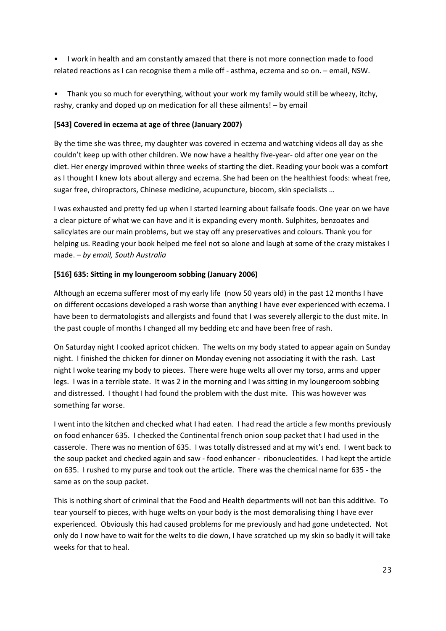- I work in health and am constantly amazed that there is not more connection made to food related reactions as I can recognise them a mile off - asthma, eczema and so on. – email, NSW.
- Thank you so much for everything, without your work my family would still be wheezy, itchy, rashy, cranky and doped up on medication for all these ailments! – by email

# **[543] Covered in eczema at age of three (January 2007)**

By the time she was three, my daughter was covered in eczema and watching videos all day as she couldn't keep up with other children. We now have a healthy five-year- old after one year on the diet. Her energy improved within three weeks of starting the diet. Reading your book was a comfort as I thought I knew lots about allergy and eczema. She had been on the healthiest foods: wheat free, sugar free, chiropractors, Chinese medicine, acupuncture, biocom, skin specialists …

I was exhausted and pretty fed up when I started learning about failsafe foods. One year on we have a clear picture of what we can have and it is expanding every month. Sulphites, benzoates and salicylates are our main problems, but we stay off any preservatives and colours. Thank you for helping us. Reading your book helped me feel not so alone and laugh at some of the crazy mistakes I made. – *by email, South Australia*

# **[516] 635: Sitting in my loungeroom sobbing (January 2006)**

Although an eczema sufferer most of my early life (now 50 years old) in the past 12 months I have on different occasions developed a rash worse than anything I have ever experienced with eczema. I have been to dermatologists and allergists and found that I was severely allergic to the dust mite. In the past couple of months I changed all my bedding etc and have been free of rash.

On Saturday night I cooked apricot chicken. The welts on my body stated to appear again on Sunday night. I finished the chicken for dinner on Monday evening not associating it with the rash. Last night I woke tearing my body to pieces. There were huge welts all over my torso, arms and upper legs. I was in a terrible state. It was 2 in the morning and I was sitting in my loungeroom sobbing and distressed. I thought I had found the problem with the dust mite. This was however was something far worse.

I went into the kitchen and checked what I had eaten. I had read the article a few months previously on food enhancer 635. I checked the Continental french onion soup packet that I had used in the casserole. There was no mention of 635. I was totally distressed and at my wit's end. I went back to the soup packet and checked again and saw - food enhancer - ribonucleotides. I had kept the article on 635. I rushed to my purse and took out the article. There was the chemical name for 635 - the same as on the soup packet.

This is nothing short of criminal that the Food and Health departments will not ban this additive. To tear yourself to pieces, with huge welts on your body is the most demoralising thing I have ever experienced. Obviously this had caused problems for me previously and had gone undetected. Not only do I now have to wait for the welts to die down, I have scratched up my skin so badly it will take weeks for that to heal.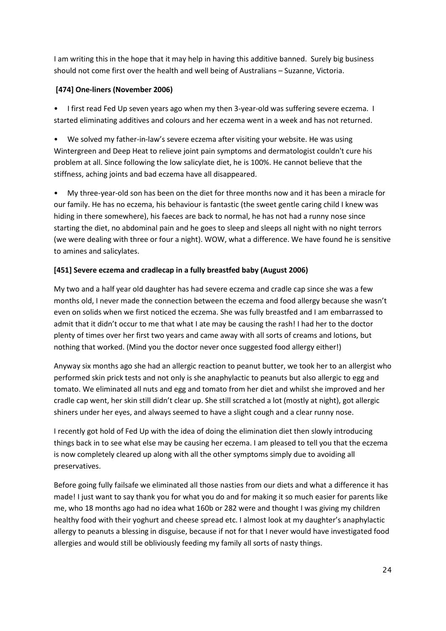I am writing this in the hope that it may help in having this additive banned. Surely big business should not come first over the health and well being of Australians – Suzanne, Victoria.

# **[474] One-liners (November 2006)**

• I first read Fed Up seven years ago when my then 3-year-old was suffering severe eczema. I started eliminating additives and colours and her eczema went in a week and has not returned.

• We solved my father-in-law's severe eczema after visiting your website. He was using Wintergreen and Deep Heat to relieve joint pain symptoms and dermatologist couldn't cure his problem at all. Since following the low salicylate diet, he is 100%. He cannot believe that the stiffness, aching joints and bad eczema have all disappeared.

• My three-year-old son has been on the diet for three months now and it has been a miracle for our family. He has no eczema, his behaviour is fantastic (the sweet gentle caring child I knew was hiding in there somewhere), his faeces are back to normal, he has not had a runny nose since starting the diet, no abdominal pain and he goes to sleep and sleeps all night with no night terrors (we were dealing with three or four a night). WOW, what a difference. We have found he is sensitive to amines and salicylates.

# **[451] Severe eczema and cradlecap in a fully breastfed baby (August 2006)**

My two and a half year old daughter has had severe eczema and cradle cap since she was a few months old, I never made the connection between the eczema and food allergy because she wasn't even on solids when we first noticed the eczema. She was fully breastfed and I am embarrassed to admit that it didn't occur to me that what I ate may be causing the rash! I had her to the doctor plenty of times over her first two years and came away with all sorts of creams and lotions, but nothing that worked. (Mind you the doctor never once suggested food allergy either!)

Anyway six months ago she had an allergic reaction to peanut butter, we took her to an allergist who performed skin prick tests and not only is she anaphylactic to peanuts but also allergic to egg and tomato. We eliminated all nuts and egg and tomato from her diet and whilst she improved and her cradle cap went, her skin still didn't clear up. She still scratched a lot (mostly at night), got allergic shiners under her eyes, and always seemed to have a slight cough and a clear runny nose.

I recently got hold of Fed Up with the idea of doing the elimination diet then slowly introducing things back in to see what else may be causing her eczema. I am pleased to tell you that the eczema is now completely cleared up along with all the other symptoms simply due to avoiding all preservatives.

Before going fully failsafe we eliminated all those nasties from our diets and what a difference it has made! I just want to say thank you for what you do and for making it so much easier for parents like me, who 18 months ago had no idea what 160b or 282 were and thought I was giving my children healthy food with their yoghurt and cheese spread etc. I almost look at my daughter's anaphylactic allergy to peanuts a blessing in disguise, because if not for that I never would have investigated food allergies and would still be obliviously feeding my family all sorts of nasty things.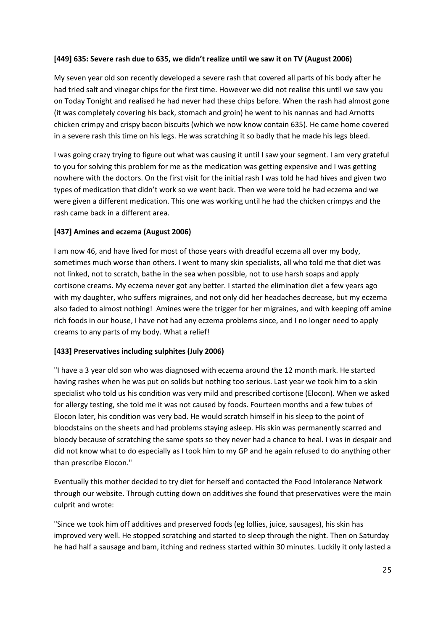#### **[449] 635: Severe rash due to 635, we didn't realize until we saw it on TV (August 2006)**

My seven year old son recently developed a severe rash that covered all parts of his body after he had tried salt and vinegar chips for the first time. However we did not realise this until we saw you on Today Tonight and realised he had never had these chips before. When the rash had almost gone (it was completely covering his back, stomach and groin) he went to his nannas and had Arnotts chicken crimpy and crispy bacon biscuits (which we now know contain 635). He came home covered in a severe rash this time on his legs. He was scratching it so badly that he made his legs bleed.

I was going crazy trying to figure out what was causing it until I saw your segment. I am very grateful to you for solving this problem for me as the medication was getting expensive and I was getting nowhere with the doctors. On the first visit for the initial rash I was told he had hives and given two types of medication that didn't work so we went back. Then we were told he had eczema and we were given a different medication. This one was working until he had the chicken crimpys and the rash came back in a different area.

#### **[437] Amines and eczema (August 2006)**

I am now 46, and have lived for most of those years with dreadful eczema all over my body, sometimes much worse than others. I went to many skin specialists, all who told me that diet was not linked, not to scratch, bathe in the sea when possible, not to use harsh soaps and apply cortisone creams. My eczema never got any better. I started the elimination diet a few years ago with my daughter, who suffers migraines, and not only did her headaches decrease, but my eczema also faded to almost nothing! Amines were the trigger for her migraines, and with keeping off amine rich foods in our house, I have not had any eczema problems since, and I no longer need to apply creams to any parts of my body. What a relief!

#### **[433] Preservatives including sulphites (July 2006)**

"I have a 3 year old son who was diagnosed with eczema around the 12 month mark. He started having rashes when he was put on solids but nothing too serious. Last year we took him to a skin specialist who told us his condition was very mild and prescribed cortisone (Elocon). When we asked for allergy testing, she told me it was not caused by foods. Fourteen months and a few tubes of Elocon later, his condition was very bad. He would scratch himself in his sleep to the point of bloodstains on the sheets and had problems staying asleep. His skin was permanently scarred and bloody because of scratching the same spots so they never had a chance to heal. I was in despair and did not know what to do especially as I took him to my GP and he again refused to do anything other than prescribe Elocon."

Eventually this mother decided to try diet for herself and contacted the Food Intolerance Network through our website. Through cutting down on additives she found that preservatives were the main culprit and wrote:

"Since we took him off additives and preserved foods (eg lollies, juice, sausages), his skin has improved very well. He stopped scratching and started to sleep through the night. Then on Saturday he had half a sausage and bam, itching and redness started within 30 minutes. Luckily it only lasted a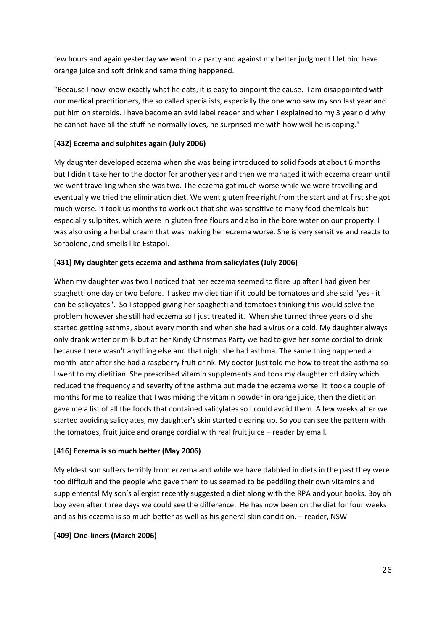few hours and again yesterday we went to a party and against my better judgment I let him have orange juice and soft drink and same thing happened.

"Because I now know exactly what he eats, it is easy to pinpoint the cause. I am disappointed with our medical practitioners, the so called specialists, especially the one who saw my son last year and put him on steroids. I have become an avid label reader and when I explained to my 3 year old why he cannot have all the stuff he normally loves, he surprised me with how well he is coping."

# **[432] Eczema and sulphites again (July 2006)**

My daughter developed eczema when she was being introduced to solid foods at about 6 months but I didn't take her to the doctor for another year and then we managed it with eczema cream until we went travelling when she was two. The eczema got much worse while we were travelling and eventually we tried the elimination diet. We went gluten free right from the start and at first she got much worse. It took us months to work out that she was sensitive to many food chemicals but especially sulphites, which were in gluten free flours and also in the bore water on our property. I was also using a herbal cream that was making her eczema worse. She is very sensitive and reacts to Sorbolene, and smells like Estapol.

#### **[431] My daughter gets eczema and asthma from salicylates (July 2006)**

When my daughter was two I noticed that her eczema seemed to flare up after I had given her spaghetti one day or two before. I asked my dietitian if it could be tomatoes and she said "yes - it can be salicyates". So I stopped giving her spaghetti and tomatoes thinking this would solve the problem however she still had eczema so I just treated it. When she turned three years old she started getting asthma, about every month and when she had a virus or a cold. My daughter always only drank water or milk but at her Kindy Christmas Party we had to give her some cordial to drink because there wasn't anything else and that night she had asthma. The same thing happened a month later after she had a raspberry fruit drink. My doctor just told me how to treat the asthma so I went to my dietitian. She prescribed vitamin supplements and took my daughter off dairy which reduced the frequency and severity of the asthma but made the eczema worse. It took a couple of months for me to realize that I was mixing the vitamin powder in orange juice, then the dietitian gave me a list of all the foods that contained salicylates so I could avoid them. A few weeks after we started avoiding salicylates, my daughter's skin started clearing up. So you can see the pattern with the tomatoes, fruit juice and orange cordial with real fruit juice – reader by email.

#### **[416] Eczema is so much better (May 2006)**

My eldest son suffers terribly from eczema and while we have dabbled in diets in the past they were too difficult and the people who gave them to us seemed to be peddling their own vitamins and supplements! My son's allergist recently suggested a diet along with the RPA and your books. Boy oh boy even after three days we could see the difference. He has now been on the diet for four weeks and as his eczema is so much better as well as his general skin condition. – reader, NSW

#### **[409] One-liners (March 2006)**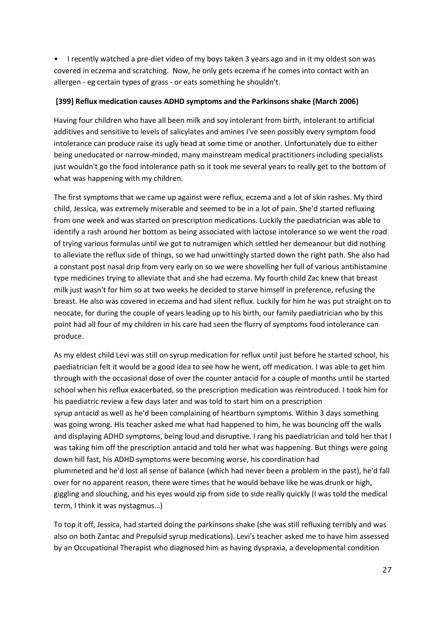• I recently watched a pre-diet video of my boys taken 3 years ago and in it my oldest son was covered in eczema and scratching. Now, he only gets eczema if he comes into contact with an allergen - eg certain types of grass - or eats something he shouldn't.

#### **[399] Reflux medication causes ADHD symptoms and the Parkinsons shake (March 2006)**

Having four children who have all been milk and soy intolerant from birth, intolerant to artificial additives and sensitive to levels of salicylates and amines I've seen possibly every symptom food intolerance can produce raise its ugly head at some time or another. Unfortunately due to either being uneducated or narrow-minded, many mainstream medical practitioners including specialists just wouldn't go the food intolerance path so it took me several years to really get to the bottom of what was happening with my children.

The first symptoms that we came up against were reflux, eczema and a lot of skin rashes. My third child, Jessica, was extremely miserable and seemed to be in a lot of pain. She'd started refluxing from one week and was started on prescription medications. Luckily the paediatrician was able to identify a rash around her bottom as being associated with lactose intolerance so we went the road of trying various formulas until we got to nutramigen which settled her demeanour but did nothing to alleviate the reflux side of things, so we had unwittingly started down the right path. She also had a constant post nasal drip from very early on so we were shovelling her full of various antihistamine type medicines trying to alleviate that and she had eczema. My fourth child Zac knew that breast milk just wasn't for him so at two weeks he decided to starve himself in preference, refusing the breast. He also was covered in eczema and had silent reflux. Luckily for him he was put straight on to neocate, for during the couple of years leading up to his birth, our family paediatrician who by this point had all four of my children in his care had seen the flurry of symptoms food intolerance can produce.

As my eldest child Levi was still on syrup medication for reflux until just before he started school, his paediatrician felt it would be a good idea to see how he went, off medication. I was able to get him through with the occasional dose of over the counter antacid for a couple of months until he started school when his reflux exacerbated, so the prescription medication was reintroduced. I took him for his paediatric review a few days later and was told to start him on a prescription syrup antacid as well as he'd been complaining of heartburn symptoms. Within 3 days something was going wrong. His teacher asked me what had happened to him, he was bouncing off the walls and displaying ADHD symptoms, being loud and disruptive. I rang his paediatrician and told her that I was taking him off the prescription antacid and told her what was happening. But things were going down hill fast, his ADHD symptoms were becoming worse, his coordination had plummeted and he'd lost all sense of balance (which had never been a problem in the past), he'd fall over for no apparent reason, there were times that he would behave like he was drunk or high, giggling and slouching, and his eyes would zip from side to side really quickly (I was told the medical term, I think it was nystagmus…)

To top it off, Jessica, had started doing the parkinsons shake (she was still refluxing terribly and was also on both Zantac and Prepulsid syrup medications). Levi's teacher asked me to have him assessed by an Occupational Therapist who diagnosed him as having dyspraxia, a developmental condition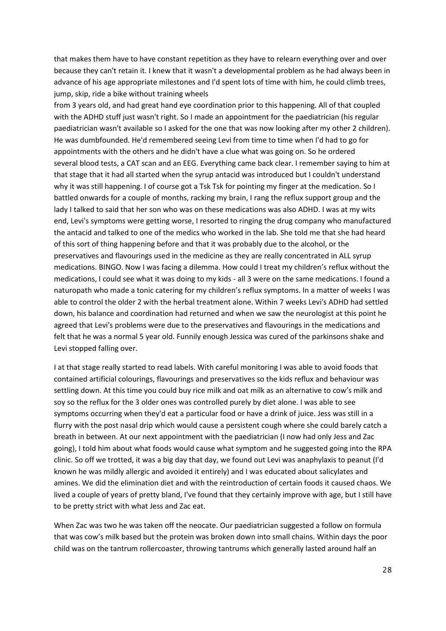that makes them have to have constant repetition as they have to relearn everything over and over because they can't retain it. I knew that it wasn't a developmental problem as he had always been in advance of his age appropriate milestones and I'd spent lots of time with him, he could climb trees, jump, skip, ride a bike without training wheels

from 3 years old, and had great hand eye coordination prior to this happening. All of that coupled with the ADHD stuff just wasn't right. So I made an appointment for the paediatrician (his regular paediatrician wasn't available so I asked for the one that was now looking after my other 2 children). He was dumbfounded. He'd remembered seeing Levi from time to time when I'd had to go for appointments with the others and he didn't have a clue what was going on. So he ordered several blood tests, a CAT scan and an EEG. Everything came back clear. I remember saying to him at that stage that it had all started when the syrup antacid was introduced but I couldn't understand why it was still happening. I of course got a Tsk Tsk for pointing my finger at the medication. So I battled onwards for a couple of months, racking my brain, I rang the reflux support group and the lady I talked to said that her son who was on these medications was also ADHD. I was at my wits end, Levi's symptoms were getting worse, I resorted to ringing the drug company who manufactured the antacid and talked to one of the medics who worked in the lab. She told me that she had heard of this sort of thing happening before and that it was probably due to the alcohol, or the preservatives and flavourings used in the medicine as they are really concentrated in ALL syrup medications. BINGO. Now I was facing a dilemma. How could I treat my children's reflux without the medications, I could see what it was doing to my kids - all 3 were on the same medications. I found a naturopath who made a tonic catering for my children's reflux symptoms. In a matter of weeks I was able to control the older 2 with the herbal treatment alone. Within 7 weeks Levi's ADHD had settled down, his balance and coordination had returned and when we saw the neurologist at this point he agreed that Levi's problems were due to the preservatives and flavourings in the medications and felt that he was a normal 5 year old. Funnily enough Jessica was cured of the parkinsons shake and Levi stopped falling over.

I at that stage really started to read labels. With careful monitoring I was able to avoid foods that contained artificial colourings, flavourings and preservatives so the kids reflux and behaviour was settling down. At this time you could buy rice milk and oat milk as an alternative to cow's milk and soy so the reflux for the 3 older ones was controlled purely by diet alone. I was able to see symptoms occurring when they'd eat a particular food or have a drink of juice. Jess was still in a flurry with the post nasal drip which would cause a persistent cough where she could barely catch a breath in between. At our next appointment with the paediatrician (I now had only Jess and Zac going), I told him about what foods would cause what symptom and he suggested going into the RPA clinic. So off we trotted, it was a big day that day, we found out Levi was anaphylaxis to peanut (I'd known he was mildly allergic and avoided it entirely) and I was educated about salicylates and amines. We did the elimination diet and with the reintroduction of certain foods it caused chaos. We lived a couple of years of pretty bland, I've found that they certainly improve with age, but I still have to be pretty strict with what Jess and Zac eat.

When Zac was two he was taken off the neocate. Our paediatrician suggested a follow on formula that was cow's milk based but the protein was broken down into small chains. Within days the poor child was on the tantrum rollercoaster, throwing tantrums which generally lasted around half an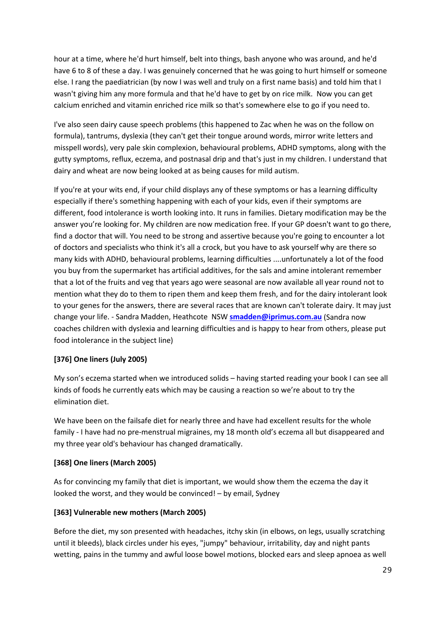hour at a time, where he'd hurt himself, belt into things, bash anyone who was around, and he'd have 6 to 8 of these a day. I was genuinely concerned that he was going to hurt himself or someone else. I rang the paediatrician (by now I was well and truly on a first name basis) and told him that I wasn't giving him any more formula and that he'd have to get by on rice milk. Now you can get calcium enriched and vitamin enriched rice milk so that's somewhere else to go if you need to.

I've also seen dairy cause speech problems (this happened to Zac when he was on the follow on formula), tantrums, dyslexia (they can't get their tongue around words, mirror write letters and misspell words), very pale skin complexion, behavioural problems, ADHD symptoms, along with the gutty symptoms, reflux, eczema, and postnasal drip and that's just in my children. I understand that dairy and wheat are now being looked at as being causes for mild autism.

If you're at your wits end, if your child displays any of these symptoms or has a learning difficulty especially if there's something happening with each of your kids, even if their symptoms are different, food intolerance is worth looking into. It runs in families. Dietary modification may be the answer you're looking for. My children are now medication free. If your GP doesn't want to go there, find a doctor that will. You need to be strong and assertive because you're going to encounter a lot of doctors and specialists who think it's all a crock, but you have to ask yourself why are there so many kids with ADHD, behavioural problems, learning difficulties ....unfortunately a lot of the food you buy from the supermarket has artificial additives, for the sals and amine intolerant remember that a lot of the fruits and veg that years ago were seasonal are now available all year round not to mention what they do to them to ripen them and keep them fresh, and for the dairy intolerant look to your genes for the answers, there are several races that are known can't tolerate dairy. It may just change your life. - Sandra Madden, Heathcote NSW **[smadden@iprimus.com.au](mailto:smadden@iprimus.com.au)** (Sandra now coaches children with dyslexia and learning difficulties and is happy to hear from others, please put food intolerance in the subject line)

#### **[376] One liners (July 2005)**

My son's eczema started when we introduced solids – having started reading your book I can see all kinds of foods he currently eats which may be causing a reaction so we're about to try the elimination diet.

We have been on the failsafe diet for nearly three and have had excellent results for the whole family - I have had no pre-menstrual migraines, my 18 month old's eczema all but disappeared and my three year old's behaviour has changed dramatically.

#### **[368] One liners (March 2005)**

As for convincing my family that diet is important, we would show them the eczema the day it looked the worst, and they would be convinced! – by email, Sydney

#### **[363] Vulnerable new mothers (March 2005)**

Before the diet, my son presented with headaches, itchy skin (in elbows, on legs, usually scratching until it bleeds), black circles under his eyes, "jumpy" behaviour, irritability, day and night pants wetting, pains in the tummy and awful loose bowel motions, blocked ears and sleep apnoea as well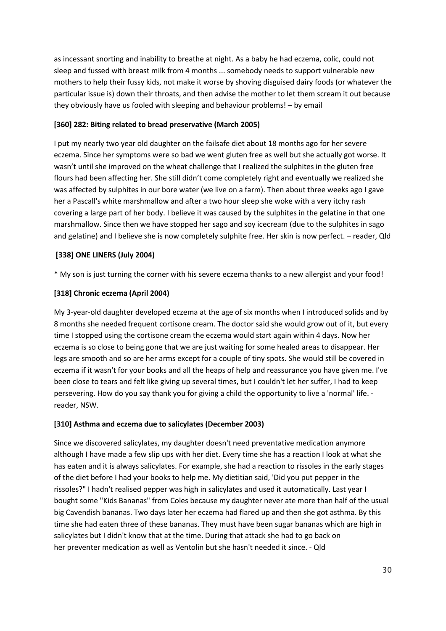as incessant snorting and inability to breathe at night. As a baby he had eczema, colic, could not sleep and fussed with breast milk from 4 months ... somebody needs to support vulnerable new mothers to help their fussy kids, not make it worse by shoving disguised dairy foods (or whatever the particular issue is) down their throats, and then advise the mother to let them scream it out because they obviously have us fooled with sleeping and behaviour problems! – by email

## **[360] 282: Biting related to bread preservative (March 2005)**

I put my nearly two year old daughter on the failsafe diet about 18 months ago for her severe eczema. Since her symptoms were so bad we went gluten free as well but she actually got worse. It wasn't until she improved on the wheat challenge that I realized the sulphites in the gluten free flours had been affecting her. She still didn't come completely right and eventually we realized she was affected by sulphites in our bore water (we live on a farm). Then about three weeks ago I gave her a Pascall's white marshmallow and after a two hour sleep she woke with a very itchy rash covering a large part of her body. I believe it was caused by the sulphites in the gelatine in that one marshmallow. Since then we have stopped her sago and soy icecream (due to the sulphites in sago and gelatine) and I believe she is now completely sulphite free. Her skin is now perfect. – reader, Qld

# **[338] ONE LINERS (July 2004)**

\* My son is just turning the corner with his severe eczema thanks to a new allergist and your food!

# **[318] Chronic eczema (April 2004)**

My 3-year-old daughter developed eczema at the age of six months when I introduced solids and by 8 months she needed frequent cortisone cream. The doctor said she would grow out of it, but every time I stopped using the cortisone cream the eczema would start again within 4 days. Now her eczema is so close to being gone that we are just waiting for some healed areas to disappear. Her legs are smooth and so are her arms except for a couple of tiny spots. She would still be covered in eczema if it wasn't for your books and all the heaps of help and reassurance you have given me. I've been close to tears and felt like giving up several times, but I couldn't let her suffer, I had to keep persevering. How do you say thank you for giving a child the opportunity to live a 'normal' life. reader, NSW.

#### **[310] Asthma and eczema due to salicylates (December 2003)**

Since we discovered salicylates, my daughter doesn't need preventative medication anymore although I have made a few slip ups with her diet. Every time she has a reaction I look at what she has eaten and it is always salicylates. For example, she had a reaction to rissoles in the early stages of the diet before I had your books to help me. My dietitian said, 'Did you put pepper in the rissoles?" I hadn't realised pepper was high in salicylates and used it automatically. Last year I bought some "Kids Bananas" from Coles because my daughter never ate more than half of the usual big Cavendish bananas. Two days later her eczema had flared up and then she got asthma. By this time she had eaten three of these bananas. They must have been sugar bananas which are high in salicylates but I didn't know that at the time. During that attack she had to go back on her preventer medication as well as Ventolin but she hasn't needed it since. - Qld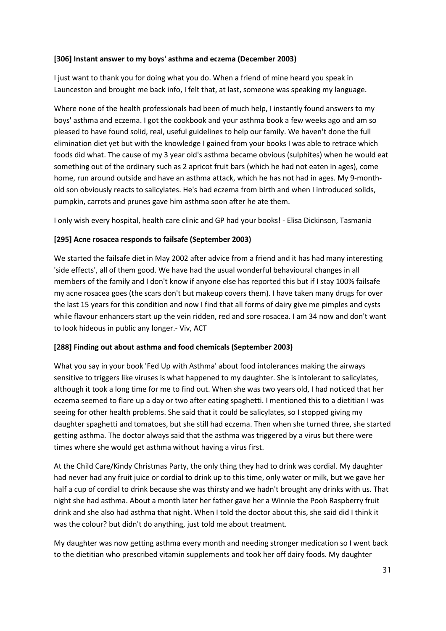#### **[306] Instant answer to my boys' asthma and eczema (December 2003)**

I just want to thank you for doing what you do. When a friend of mine heard you speak in Launceston and brought me back info, I felt that, at last, someone was speaking my language.

Where none of the health professionals had been of much help, I instantly found answers to my boys' asthma and eczema. I got the cookbook and your asthma book a few weeks ago and am so pleased to have found solid, real, useful guidelines to help our family. We haven't done the full elimination diet yet but with the knowledge I gained from your books I was able to retrace which foods did what. The cause of my 3 year old's asthma became obvious (sulphites) when he would eat something out of the ordinary such as 2 apricot fruit bars (which he had not eaten in ages), come home, run around outside and have an asthma attack, which he has not had in ages. My 9-monthold son obviously reacts to salicylates. He's had eczema from birth and when I introduced solids, pumpkin, carrots and prunes gave him asthma soon after he ate them.

I only wish every hospital, health care clinic and GP had your books! - Elisa Dickinson, Tasmania

#### **[295] Acne rosacea responds to failsafe (September 2003)**

We started the failsafe diet in May 2002 after advice from a friend and it has had many interesting 'side effects', all of them good. We have had the usual wonderful behavioural changes in all members of the family and I don't know if anyone else has reported this but if I stay 100% failsafe my acne rosacea goes (the scars don't but makeup covers them). I have taken many drugs for over the last 15 years for this condition and now I find that all forms of dairy give me pimples and cysts while flavour enhancers start up the vein ridden, red and sore rosacea. I am 34 now and don't want to look hideous in public any longer.- Viv, ACT

#### **[288] Finding out about asthma and food chemicals (September 2003)**

What you say in your book 'Fed Up with Asthma' about food intolerances making the airways sensitive to triggers like viruses is what happened to my daughter. She is intolerant to salicylates, although it took a long time for me to find out. When she was two years old, I had noticed that her eczema seemed to flare up a day or two after eating spaghetti. I mentioned this to a dietitian I was seeing for other health problems. She said that it could be salicylates, so I stopped giving my daughter spaghetti and tomatoes, but she still had eczema. Then when she turned three, she started getting asthma. The doctor always said that the asthma was triggered by a virus but there were times where she would get asthma without having a virus first.

At the Child Care/Kindy Christmas Party, the only thing they had to drink was cordial. My daughter had never had any fruit juice or cordial to drink up to this time, only water or milk, but we gave her half a cup of cordial to drink because she was thirsty and we hadn't brought any drinks with us. That night she had asthma. About a month later her father gave her a Winnie the Pooh Raspberry fruit drink and she also had asthma that night. When I told the doctor about this, she said did I think it was the colour? but didn't do anything, just told me about treatment.

My daughter was now getting asthma every month and needing stronger medication so I went back to the dietitian who prescribed vitamin supplements and took her off dairy foods. My daughter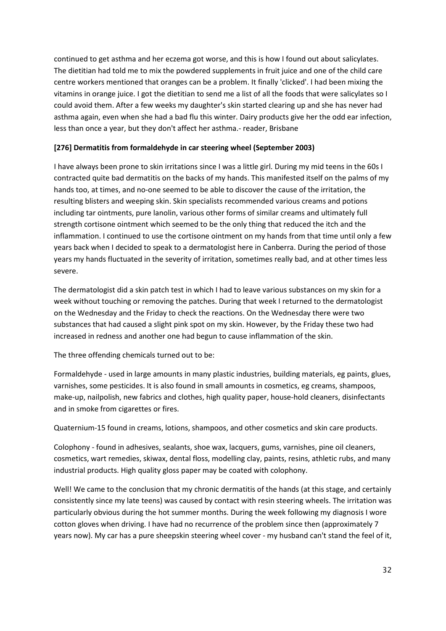continued to get asthma and her eczema got worse, and this is how I found out about salicylates. The dietitian had told me to mix the powdered supplements in fruit juice and one of the child care centre workers mentioned that oranges can be a problem. It finally 'clicked'. I had been mixing the vitamins in orange juice. I got the dietitian to send me a list of all the foods that were salicylates so I could avoid them. After a few weeks my daughter's skin started clearing up and she has never had asthma again, even when she had a bad flu this winter. Dairy products give her the odd ear infection, less than once a year, but they don't affect her asthma.- reader, Brisbane

#### **[276] Dermatitis from formaldehyde in car steering wheel (September 2003)**

I have always been prone to skin irritations since I was a little girl. During my mid teens in the 60s I contracted quite bad dermatitis on the backs of my hands. This manifested itself on the palms of my hands too, at times, and no-one seemed to be able to discover the cause of the irritation, the resulting blisters and weeping skin. Skin specialists recommended various creams and potions including tar ointments, pure lanolin, various other forms of similar creams and ultimately full strength cortisone ointment which seemed to be the only thing that reduced the itch and the inflammation. I continued to use the cortisone ointment on my hands from that time until only a few years back when I decided to speak to a dermatologist here in Canberra. During the period of those years my hands fluctuated in the severity of irritation, sometimes really bad, and at other times less severe.

The dermatologist did a skin patch test in which I had to leave various substances on my skin for a week without touching or removing the patches. During that week I returned to the dermatologist on the Wednesday and the Friday to check the reactions. On the Wednesday there were two substances that had caused a slight pink spot on my skin. However, by the Friday these two had increased in redness and another one had begun to cause inflammation of the skin.

The three offending chemicals turned out to be:

Formaldehyde - used in large amounts in many plastic industries, building materials, eg paints, glues, varnishes, some pesticides. It is also found in small amounts in cosmetics, eg creams, shampoos, make-up, nailpolish, new fabrics and clothes, high quality paper, house-hold cleaners, disinfectants and in smoke from cigarettes or fires.

Quaternium-15 found in creams, lotions, shampoos, and other cosmetics and skin care products.

Colophony - found in adhesives, sealants, shoe wax, lacquers, gums, varnishes, pine oil cleaners, cosmetics, wart remedies, skiwax, dental floss, modelling clay, paints, resins, athletic rubs, and many industrial products. High quality gloss paper may be coated with colophony.

Well! We came to the conclusion that my chronic dermatitis of the hands (at this stage, and certainly consistently since my late teens) was caused by contact with resin steering wheels. The irritation was particularly obvious during the hot summer months. During the week following my diagnosis I wore cotton gloves when driving. I have had no recurrence of the problem since then (approximately 7 years now). My car has a pure sheepskin steering wheel cover - my husband can't stand the feel of it,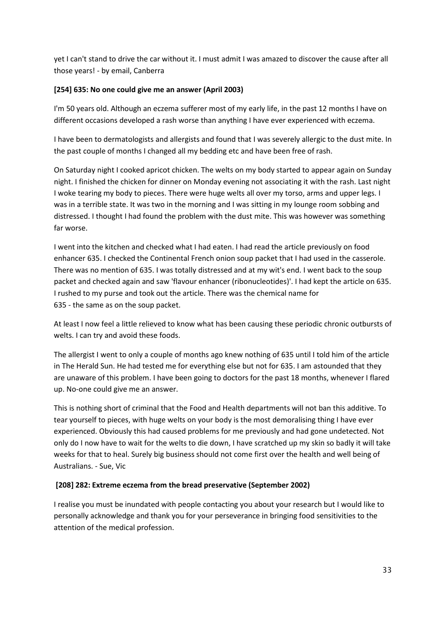yet I can't stand to drive the car without it. I must admit I was amazed to discover the cause after all those years! - by email, Canberra

## **[254] 635: No one could give me an answer (April 2003)**

I'm 50 years old. Although an eczema sufferer most of my early life, in the past 12 months I have on different occasions developed a rash worse than anything I have ever experienced with eczema.

I have been to dermatologists and allergists and found that I was severely allergic to the dust mite. In the past couple of months I changed all my bedding etc and have been free of rash.

On Saturday night I cooked apricot chicken. The welts on my body started to appear again on Sunday night. I finished the chicken for dinner on Monday evening not associating it with the rash. Last night I woke tearing my body to pieces. There were huge welts all over my torso, arms and upper legs. I was in a terrible state. It was two in the morning and I was sitting in my lounge room sobbing and distressed. I thought I had found the problem with the dust mite. This was however was something far worse.

I went into the kitchen and checked what I had eaten. I had read the article previously on food enhancer 635. I checked the Continental French onion soup packet that I had used in the casserole. There was no mention of 635. I was totally distressed and at my wit's end. I went back to the soup packet and checked again and saw 'flavour enhancer (ribonucleotides)'. I had kept the article on 635. I rushed to my purse and took out the article. There was the chemical name for 635 - the same as on the soup packet.

At least I now feel a little relieved to know what has been causing these periodic chronic outbursts of welts. I can try and avoid these foods.

The allergist I went to only a couple of months ago knew nothing of 635 until I told him of the article in The Herald Sun. He had tested me for everything else but not for 635. I am astounded that they are unaware of this problem. I have been going to doctors for the past 18 months, whenever I flared up. No-one could give me an answer.

This is nothing short of criminal that the Food and Health departments will not ban this additive. To tear yourself to pieces, with huge welts on your body is the most demoralising thing I have ever experienced. Obviously this had caused problems for me previously and had gone undetected. Not only do I now have to wait for the welts to die down, I have scratched up my skin so badly it will take weeks for that to heal. Surely big business should not come first over the health and well being of Australians. - Sue, Vic

#### **[208] 282: Extreme eczema from the bread preservative (September 2002)**

I realise you must be inundated with people contacting you about your research but I would like to personally acknowledge and thank you for your perseverance in bringing food sensitivities to the attention of the medical profession.